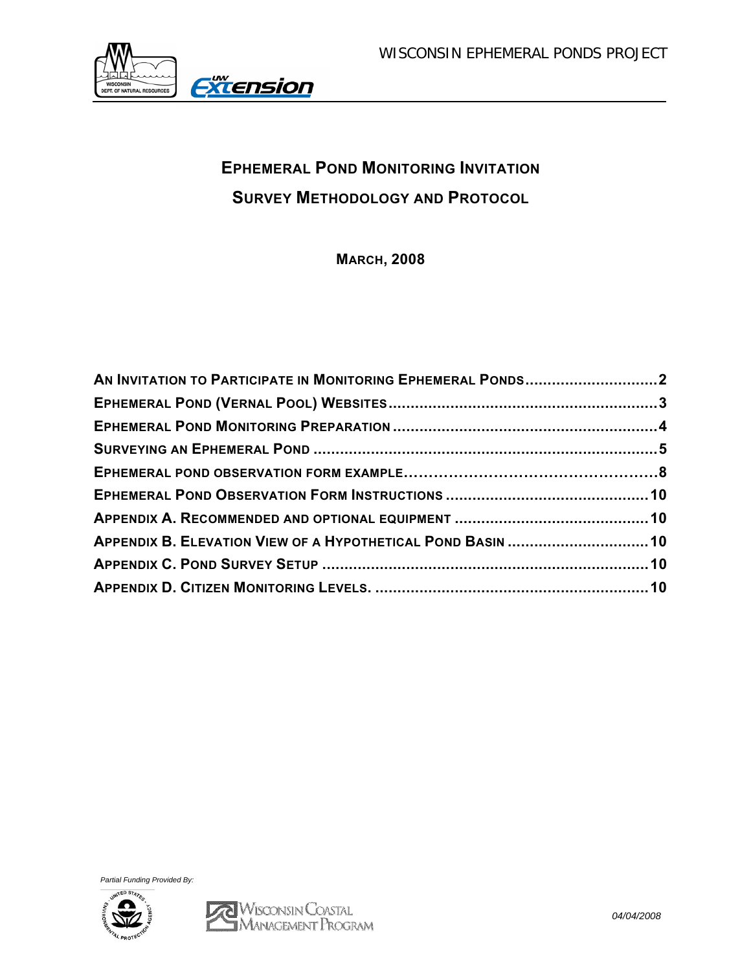

# **EPHEMERAL POND MONITORING INVITATION SURVEY METHODOLOGY AND PROTOCOL**

**MARCH, 2008** 

| AN INVITATION TO PARTICIPATE IN MONITORING EPHEMERAL PONDS2 |  |
|-------------------------------------------------------------|--|
|                                                             |  |
|                                                             |  |
|                                                             |  |
|                                                             |  |
|                                                             |  |
|                                                             |  |
| APPENDIX B. ELEVATION VIEW OF A HYPOTHETICAL POND BASIN  10 |  |
|                                                             |  |
|                                                             |  |

*Partial Funding Provided By:* 

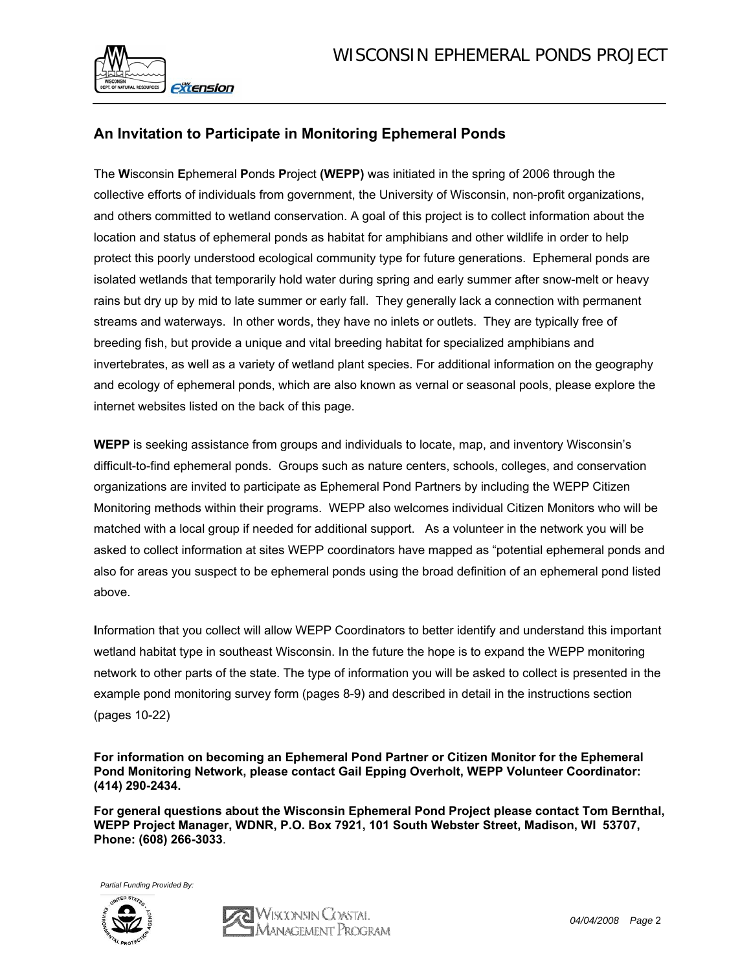

# **An Invitation to Participate in Monitoring Ephemeral Ponds**

The **W**isconsin **E**phemeral **P**onds **P**roject **(WEPP)** was initiated in the spring of 2006 through the collective efforts of individuals from government, the University of Wisconsin, non-profit organizations, and others committed to wetland conservation. A goal of this project is to collect information about the location and status of ephemeral ponds as habitat for amphibians and other wildlife in order to help protect this poorly understood ecological community type for future generations. Ephemeral ponds are isolated wetlands that temporarily hold water during spring and early summer after snow-melt or heavy rains but dry up by mid to late summer or early fall. They generally lack a connection with permanent streams and waterways. In other words, they have no inlets or outlets. They are typically free of breeding fish, but provide a unique and vital breeding habitat for specialized amphibians and invertebrates, as well as a variety of wetland plant species. For additional information on the geography and ecology of ephemeral ponds, which are also known as vernal or seasonal pools, please explore the internet websites listed on the back of this page.

**WEPP** is seeking assistance from groups and individuals to locate, map, and inventory Wisconsin's difficult-to-find ephemeral ponds. Groups such as nature centers, schools, colleges, and conservation organizations are invited to participate as Ephemeral Pond Partners by including the WEPP Citizen Monitoring methods within their programs. WEPP also welcomes individual Citizen Monitors who will be matched with a local group if needed for additional support. As a volunteer in the network you will be asked to collect information at sites WEPP coordinators have mapped as "potential ephemeral ponds and also for areas you suspect to be ephemeral ponds using the broad definition of an ephemeral pond listed above.

**I**nformation that you collect will allow WEPP Coordinators to better identify and understand this important wetland habitat type in southeast Wisconsin. In the future the hope is to expand the WEPP monitoring network to other parts of the state. The type of information you will be asked to collect is presented in the example pond monitoring survey form (pages 8-9) and described in detail in the instructions section (pages 10-22)

**For information on becoming an Ephemeral Pond Partner or Citizen Monitor for the Ephemeral Pond Monitoring Network, please contact Gail Epping Overholt, WEPP Volunteer Coordinator: (414) 290-2434.** 

**For general questions about the Wisconsin Ephemeral Pond Project please contact Tom Bernthal, WEPP Project Manager, WDNR, P.O. Box 7921, 101 South Webster Street, Madison, WI 53707, Phone: (608) 266-3033**.

*Partial Funding Provided By:* 



Wiseensin Coastai.<br>Management Program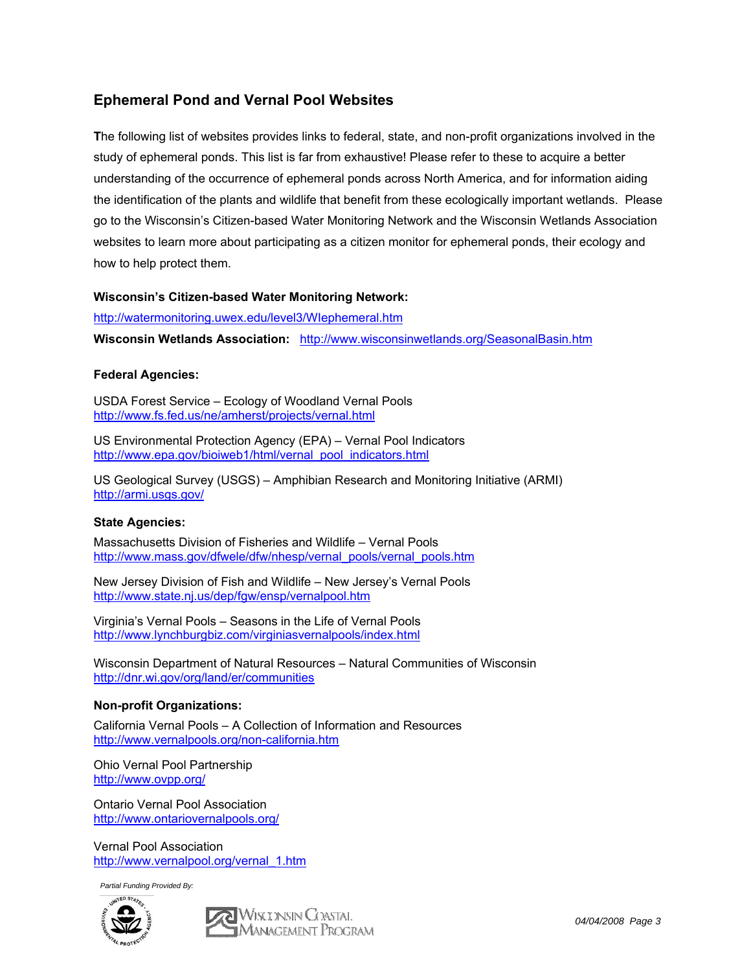# **Ephemeral Pond and Vernal Pool Websites**

**T**he following list of websites provides links to federal, state, and non-profit organizations involved in the study of ephemeral ponds. This list is far from exhaustive! Please refer to these to acquire a better understanding of the occurrence of ephemeral ponds across North America, and for information aiding the identification of the plants and wildlife that benefit from these ecologically important wetlands. Please go to the Wisconsin's Citizen-based Water Monitoring Network and the Wisconsin Wetlands Association websites to learn more about participating as a citizen monitor for ephemeral ponds, their ecology and how to help protect them.

### **Wisconsin's Citizen-based Water Monitoring Network:**

http://watermonitoring.uwex.edu/level3/WIephemeral.htm

**Wisconsin Wetlands Association:** http://www.wisconsinwetlands.org/SeasonalBasin.htm

### **Federal Agencies:**

USDA Forest Service – Ecology of Woodland Vernal Pools http://www.fs.fed.us/ne/amherst/projects/vernal.html

US Environmental Protection Agency (EPA) – Vernal Pool Indicators http://www.epa.gov/bioiweb1/html/vernal\_pool\_indicators.html

US Geological Survey (USGS) – Amphibian Research and Monitoring Initiative (ARMI) http://armi.usgs.gov/

### **State Agencies:**

Massachusetts Division of Fisheries and Wildlife – Vernal Pools http://www.mass.gov/dfwele/dfw/nhesp/vernal\_pools/vernal\_pools.htm

New Jersey Division of Fish and Wildlife – New Jersey's Vernal Pools http://www.state.nj.us/dep/fgw/ensp/vernalpool.htm

Virginia's Vernal Pools – Seasons in the Life of Vernal Pools http://www.lynchburgbiz.com/virginiasvernalpools/index.html

Wisconsin Department of Natural Resources – Natural Communities of Wisconsin http://dnr.wi.gov/org/land/er/communities

### **Non-profit Organizations:**

California Vernal Pools – A Collection of Information and Resources http://www.vernalpools.org/non-california.htm

Ohio Vernal Pool Partnership http://www.ovpp.org/

Ontario Vernal Pool Association http://www.ontariovernalpools.org/

Vernal Pool Association http://www.vernalpool.org/vernal\_1.htm

*Partial Funding Provided By:* 



Miklinsin Coastal<br>A Management Program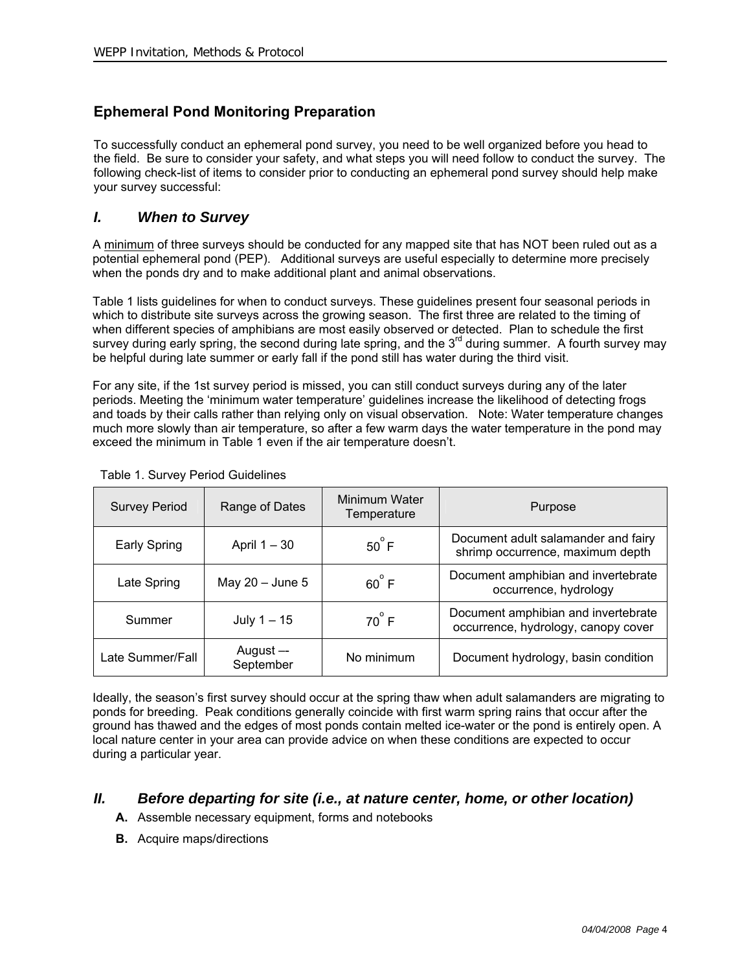# **Ephemeral Pond Monitoring Preparation**

To successfully conduct an ephemeral pond survey, you need to be well organized before you head to the field. Be sure to consider your safety, and what steps you will need follow to conduct the survey. The following check-list of items to consider prior to conducting an ephemeral pond survey should help make your survey successful:

# *I. When to Survey*

A minimum of three surveys should be conducted for any mapped site that has NOT been ruled out as a potential ephemeral pond (PEP). Additional surveys are useful especially to determine more precisely when the ponds dry and to make additional plant and animal observations.

Table 1 lists guidelines for when to conduct surveys. These guidelines present four seasonal periods in which to distribute site surveys across the growing season. The first three are related to the timing of when different species of amphibians are most easily observed or detected. Plan to schedule the first survey during early spring, the second during late spring, and the  $3<sup>rd</sup>$  during summer. A fourth survey may be helpful during late summer or early fall if the pond still has water during the third visit.

For any site, if the 1st survey period is missed, you can still conduct surveys during any of the later periods. Meeting the 'minimum water temperature' guidelines increase the likelihood of detecting frogs and toads by their calls rather than relying only on visual observation. Note: Water temperature changes much more slowly than air temperature, so after a few warm days the water temperature in the pond may exceed the minimum in Table 1 even if the air temperature doesn't.

| <b>Survey Period</b>                      | Range of Dates      | Minimum Water<br>Temperature | Purpose                                                                    |
|-------------------------------------------|---------------------|------------------------------|----------------------------------------------------------------------------|
| Early Spring                              | April $1 - 30$      | $50^{\circ}$ F               | Document adult salamander and fairy<br>shrimp occurrence, maximum depth    |
| Late Spring                               | May $20 -$ June $5$ | $60^{\circ}$ F               | Document amphibian and invertebrate<br>occurrence, hydrology               |
| Summer                                    | July $1 - 15$       |                              | Document amphibian and invertebrate<br>occurrence, hydrology, canopy cover |
| August —<br>Late Summer/Fall<br>September |                     | No minimum                   | Document hydrology, basin condition                                        |

### Table 1. Survey Period Guidelines

Ideally, the season's first survey should occur at the spring thaw when adult salamanders are migrating to ponds for breeding. Peak conditions generally coincide with first warm spring rains that occur after the ground has thawed and the edges of most ponds contain melted ice-water or the pond is entirely open. A local nature center in your area can provide advice on when these conditions are expected to occur during a particular year.

# *II. Before departing for site (i.e., at nature center, home, or other location)*

- **A.** Assemble necessary equipment, forms and notebooks
- **B.** Acquire maps/directions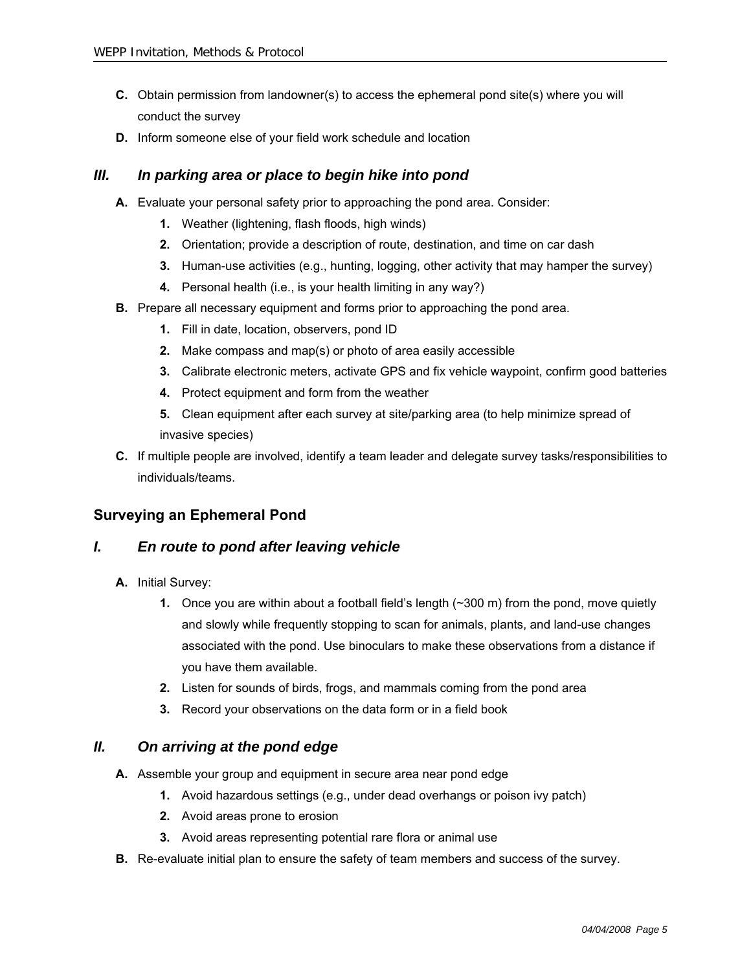- **C.** Obtain permission from landowner(s) to access the ephemeral pond site(s) where you will conduct the survey
- **D.** Inform someone else of your field work schedule and location

## *III. In parking area or place to begin hike into pond*

- **A.** Evaluate your personal safety prior to approaching the pond area. Consider:
	- **1.** Weather (lightening, flash floods, high winds)
	- **2.** Orientation; provide a description of route, destination, and time on car dash
	- **3.** Human-use activities (e.g., hunting, logging, other activity that may hamper the survey)
	- **4.** Personal health (i.e., is your health limiting in any way?)
- **B.** Prepare all necessary equipment and forms prior to approaching the pond area.
	- **1.** Fill in date, location, observers, pond ID
	- **2.** Make compass and map(s) or photo of area easily accessible
	- **3.** Calibrate electronic meters, activate GPS and fix vehicle waypoint, confirm good batteries
	- **4.** Protect equipment and form from the weather
	- **5.** Clean equipment after each survey at site/parking area (to help minimize spread of invasive species)
- **C.** If multiple people are involved, identify a team leader and delegate survey tasks/responsibilities to individuals/teams.

## **Surveying an Ephemeral Pond**

### *I. En route to pond after leaving vehicle*

- **A.** Initial Survey:
	- **1.** Once you are within about a football field's length (~300 m) from the pond, move quietly and slowly while frequently stopping to scan for animals, plants, and land-use changes associated with the pond. Use binoculars to make these observations from a distance if you have them available.
	- **2.** Listen for sounds of birds, frogs, and mammals coming from the pond area
	- **3.** Record your observations on the data form or in a field book

### *II. On arriving at the pond edge*

- **A.** Assemble your group and equipment in secure area near pond edge
	- **1.** Avoid hazardous settings (e.g., under dead overhangs or poison ivy patch)
	- **2.** Avoid areas prone to erosion
	- **3.** Avoid areas representing potential rare flora or animal use
- **B.** Re-evaluate initial plan to ensure the safety of team members and success of the survey.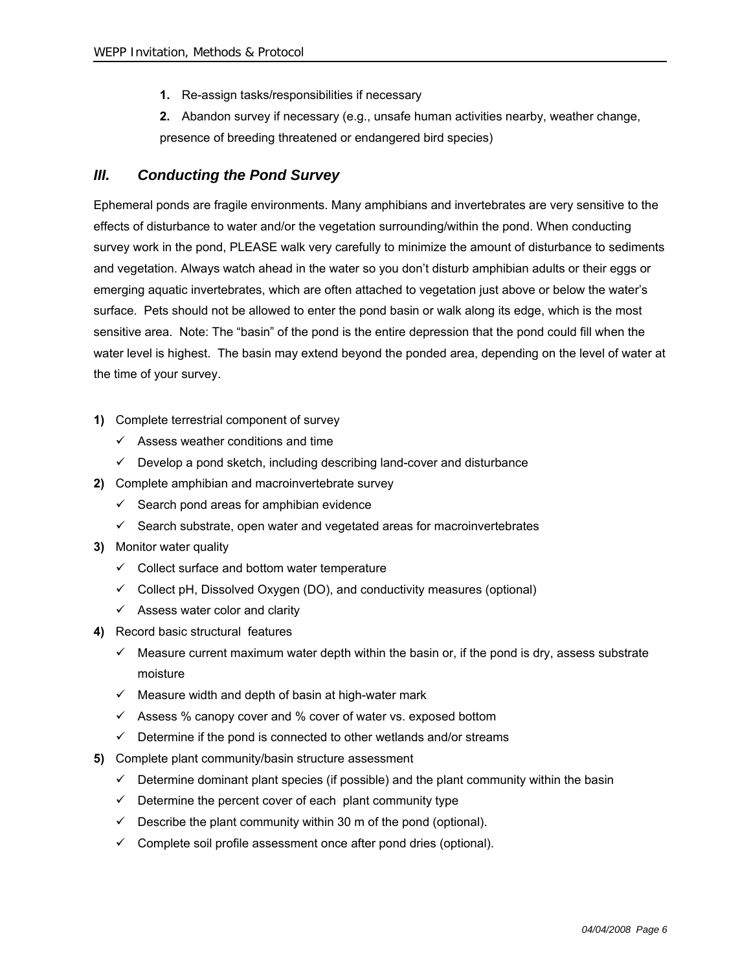- **1.** Re-assign tasks/responsibilities if necessary
- **2.** Abandon survey if necessary (e.g., unsafe human activities nearby, weather change, presence of breeding threatened or endangered bird species)

# *III. Conducting the Pond Survey*

Ephemeral ponds are fragile environments. Many amphibians and invertebrates are very sensitive to the effects of disturbance to water and/or the vegetation surrounding/within the pond. When conducting survey work in the pond, PLEASE walk very carefully to minimize the amount of disturbance to sediments and vegetation. Always watch ahead in the water so you don't disturb amphibian adults or their eggs or emerging aquatic invertebrates, which are often attached to vegetation just above or below the water's surface. Pets should not be allowed to enter the pond basin or walk along its edge, which is the most sensitive area. Note: The "basin" of the pond is the entire depression that the pond could fill when the water level is highest. The basin may extend beyond the ponded area, depending on the level of water at the time of your survey.

- **1)** Complete terrestrial component of survey
	- $\checkmark$  Assess weather conditions and time
	- $\checkmark$  Develop a pond sketch, including describing land-cover and disturbance
- **2)** Complete amphibian and macroinvertebrate survey
	- $\checkmark$  Search pond areas for amphibian evidence
	- $\checkmark$  Search substrate, open water and vegetated areas for macroinvertebrates
- **3)** Monitor water quality
	- $\checkmark$  Collect surface and bottom water temperature
	- $\checkmark$  Collect pH, Dissolved Oxygen (DO), and conductivity measures (optional)
	- $\checkmark$  Assess water color and clarity
- **4)** Record basic structural features
	- $\checkmark$  Measure current maximum water depth within the basin or, if the pond is dry, assess substrate moisture
	- $\checkmark$  Measure width and depth of basin at high-water mark
	- $\checkmark$  Assess % canopy cover and % cover of water vs. exposed bottom
	- $\checkmark$  Determine if the pond is connected to other wetlands and/or streams
- **5)** Complete plant community/basin structure assessment
	- $\checkmark$  Determine dominant plant species (if possible) and the plant community within the basin
	- $\checkmark$  Determine the percent cover of each plant community type
	- $\checkmark$  Describe the plant community within 30 m of the pond (optional).
	- $\checkmark$  Complete soil profile assessment once after pond dries (optional).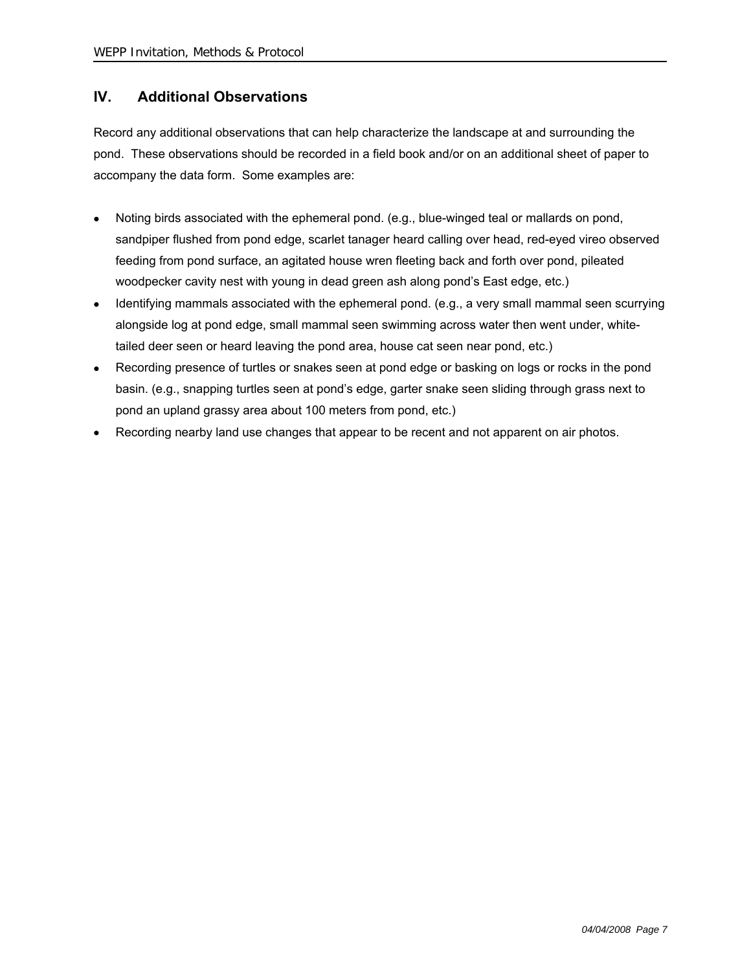# **IV. Additional Observations**

Record any additional observations that can help characterize the landscape at and surrounding the pond. These observations should be recorded in a field book and/or on an additional sheet of paper to accompany the data form. Some examples are:

- Noting birds associated with the ephemeral pond. (e.g., blue-winged teal or mallards on pond, sandpiper flushed from pond edge, scarlet tanager heard calling over head, red-eyed vireo observed feeding from pond surface, an agitated house wren fleeting back and forth over pond, pileated woodpecker cavity nest with young in dead green ash along pond's East edge, etc.)
- Identifying mammals associated with the ephemeral pond. (e.g., a very small mammal seen scurrying alongside log at pond edge, small mammal seen swimming across water then went under, whitetailed deer seen or heard leaving the pond area, house cat seen near pond, etc.)
- Recording presence of turtles or snakes seen at pond edge or basking on logs or rocks in the pond basin. (e.g., snapping turtles seen at pond's edge, garter snake seen sliding through grass next to pond an upland grassy area about 100 meters from pond, etc.)
- Recording nearby land use changes that appear to be recent and not apparent on air photos.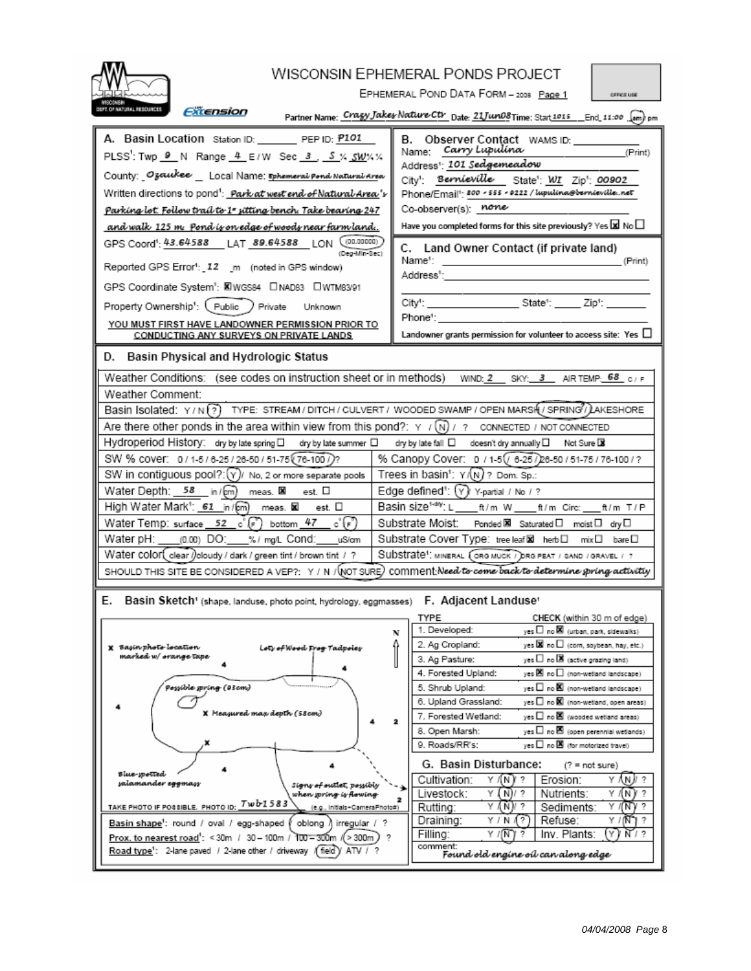| <b>WISCONSIN EPHEMERAL PONDS PROJECT</b><br>EPHEMERAL POND DATA FORM - 2008 Page 1<br>OFFICE USE                                                                                                                                                                                                                                                                                                                                                                                                                                                                                                                                                                                                                                                                                                                                                                                                                                                |                                                                                                                                                                                                                                                                                                                                                                                                                                                                                                                                                                                                                                                                                                                                                                                                                                                                                                                                                                                                                                                                                                           |  |  |  |  |  |  |
|-------------------------------------------------------------------------------------------------------------------------------------------------------------------------------------------------------------------------------------------------------------------------------------------------------------------------------------------------------------------------------------------------------------------------------------------------------------------------------------------------------------------------------------------------------------------------------------------------------------------------------------------------------------------------------------------------------------------------------------------------------------------------------------------------------------------------------------------------------------------------------------------------------------------------------------------------|-----------------------------------------------------------------------------------------------------------------------------------------------------------------------------------------------------------------------------------------------------------------------------------------------------------------------------------------------------------------------------------------------------------------------------------------------------------------------------------------------------------------------------------------------------------------------------------------------------------------------------------------------------------------------------------------------------------------------------------------------------------------------------------------------------------------------------------------------------------------------------------------------------------------------------------------------------------------------------------------------------------------------------------------------------------------------------------------------------------|--|--|--|--|--|--|
| FT. OF NATURAL RESOURCES<br><i><b>Extension</b></i><br>Partner Name: Cragy Jakes Nature Ctr Date: 21Jun08Time: Start1015 __ End_11:00  [am] pm                                                                                                                                                                                                                                                                                                                                                                                                                                                                                                                                                                                                                                                                                                                                                                                                  |                                                                                                                                                                                                                                                                                                                                                                                                                                                                                                                                                                                                                                                                                                                                                                                                                                                                                                                                                                                                                                                                                                           |  |  |  |  |  |  |
| A. Basin Location Station ID: PEP ID: P101<br>PLSS': Twp 9 N Range 4 E/W Sec 3 S % SW % %<br>County: Ozaukee _ Local Name: Ephemeral Pond Natural Area<br>Written directions to pond <sup>1</sup> : Park at west end of Natural Area 's<br>Parking lot. Follow trail to 1" sitting bench. Take bearing 247<br>and walk 125 m Pond is on edge of woods near farm land.<br>GPS Coord <sup>1</sup> : 43.64588 LAT 89.64588 LON (00.00000)<br>(Deg-Min-Sec)<br>Reported GPS Error <sup>4</sup> : 12 _m (noted in GPS window)<br>GPS Coordinate System <sup>1</sup> : KIWGS84 DNAD83 DWTM83/91<br>Property Ownership <sup>1</sup> : (Public ) Private Unknown<br>YOU MUST FIRST HAVE LANDOWNER PERMISSION PRIOR TO<br>CONDUCTING ANY SURVEYS ON PRIVATE LANDS                                                                                                                                                                                        | B. Observer Contact WAMS ID: _______<br>Name: Carry Lupulina<br>(Print)<br>Address!: 101 Sedgemeadow<br>City <sup>1</sup> : Bernieville State <sup>1</sup> : WI Zip <sup>1</sup> : 00902<br>Phone/Email <sup>1</sup> : 800 - 555 - 0222 / lupulina@bernievillenet<br>Co-observer(s): none<br>Have you completed forms for this site previously? Yes $\boxtimes$ No $\Box$<br>C. Land Owner Contact (if private land)<br>Name1:<br>(Print)<br>Address':<br>City': ___________________________State <sup>4</sup> : _______ Zip <sup>4</sup> : ________<br>Phone':<br>Landowner grants permission for volunteer to access site: Yes $\Box$                                                                                                                                                                                                                                                                                                                                                                                                                                                                   |  |  |  |  |  |  |
| D. Basin Physical and Hydrologic Status<br>Weather Conditions: (see codes on instruction sheet or in methods)<br>Weather Comment:<br>Basin Isolated: Y/N ?? TYPE: STREAM/DITCH/CULVERT/WOODED SWAMP/OPEN MARSH/SPRING/LAKESHORE<br>Are there other ponds in the area within view from this pond?: $\gamma$ / $\mathcal{N}$ ) / ? connected / NOT CONNECTED<br>Hydroperiod History: dry by late spring □ dry by late summer □ dry by late fall □ doesn't dry annually □ Not Sure DB<br>SW % cover: 0/1-5/6-25/26-50/51-75 (76-100/)?<br>SW in contiguous pool?: $(y)$ No, 2 or more separate pools<br>Water Depth: 58 in / meas. X est. □<br>High Water Mark <sup>1</sup> : 61 in / m <sup>2</sup> meas. <b>⊠</b> est. □<br>Water Temp: surface $52\degree$ c $\degree$ (F) bottom $\frac{47\degree}{10\degree}$ c $\degree$ (F)<br>Water pH: (0.00) DO: %/ mg/L Cond: uS/cm<br>Water COIOF [clear / oloudy / dark / green tint / brown tint / ? | WIND: 2 SKY: 3 AIR TEMP: 68 C/F<br>% Canopy Cover: 0 / 1-5 / 6-25 / 26-50 / 51-75 / 76-100 / ?<br>Trees in basin <sup>1</sup> : $Y(N)$ ? Dom. Sp.:<br>Edge defined <sup>1</sup> : (Y) Y-partial / No / ?<br>Basin size <sup>t-dy</sup> : L ____ ft/m W ____ ft/m Circ: ___ ft/m T/P<br>Substrate Moist:<br>Ponded <b>X</b> Saturated I moist I dry I<br>Substrate Cover Type: treeleaf⊠ herb□ mix□ bare□<br>Substrate <sup>1</sup> : MINERAL (ORG MUCK / DRG PEAT / SAND / GRAVEL / ?<br>SHOULD THIS SITE BE CONSIDERED A VEP?: Y / N / (NOT SURE) COMMENT Need to come back to determine spring activity                                                                                                                                                                                                                                                                                                                                                                                                                                                                                                 |  |  |  |  |  |  |
| Basin Sketch <sup>+</sup> (shape, landuse, photo point, hydrology, eggmasses) F. Adjacent Landuse <sup>4</sup><br>X - Bagin photo-location<br>Loty of Wood Frog Tadpoley<br>marked w/ orange tape<br>Possible spring (03cm)<br><b>X</b> Меадиred тан деріп (58ст)<br><b>Blue-youtted</b><br>şalamander eggmasş<br>Signy of outlet, possibly<br>when spring is flowing.<br>TAKE PHOTO IF POSSIBLE. PHOTO ID: TWO 1583<br>(e.g., initials+CameraPhoto#)<br>Basin shape <sup>1</sup> : round / oval / egg-shaped ( oblong ) irregular / ?<br>Prox. to nearest road': < 30m / 30 - 100m / 100 - 300m / > 300m)<br>Road type <sup>1</sup> : 2-lane paved / 2-lane other / driveway (field) ATV / ?                                                                                                                                                                                                                                                   | CHECK (within 30 m of edge)<br>TYPE<br>1. Developed:<br>$y$ es $\square$ no $\blacksquare$ (urban, park, sidewalks)<br>N<br>yes <b>Di</b> no□ (corn, soybean, hay, etc.)<br>2. Ag Cropland:<br>$yes$ $\Box$ no $\Box$ (active grazing land)<br>3. Ag Pasture:<br>4. Forested Upland:<br>yes 図 no□ (non-wetland landscape)<br>5. Shrub Upland:<br>yes $\square$ no $\boxtimes$ (non-wetland landscape).<br>6. Upland Grassland:<br>yes □ no 図 (non-wetland, open areas)<br>7. Forested Wetland:<br>yes $\square$ no $\boxtimes$ (wooded wetland areas)<br>$yes$ $\Box$ no $\blacksquare$ (open perennial wetlands)<br>8. Open Marsh:<br>yes $\square$ no $\boxtimes$ (for motorized travel)<br>9. Roads/RR's:<br>G. Basin Disturbance:<br>$(?) = not sure)$<br>Y /(N)/?<br>Y (N) ?<br>Cultivation:<br>Erosion:<br>Livestock:<br>Υ<br>Y (N)<br>?<br>( N)/ ?<br>Nutrients:<br>Y<br>AN)/ ?<br>Y /(NT)/<br>2<br>Rutting:<br>Sediments:<br>Refuse:<br>Draining:<br>Y / N (1?)<br>Y / 1N 71 ?<br>Inv. Plants:<br>(Y)<br>N 1 ?<br>Filling:<br>Y / (N ) ?<br>12<br>comment:<br>Found old engine oil can along edge |  |  |  |  |  |  |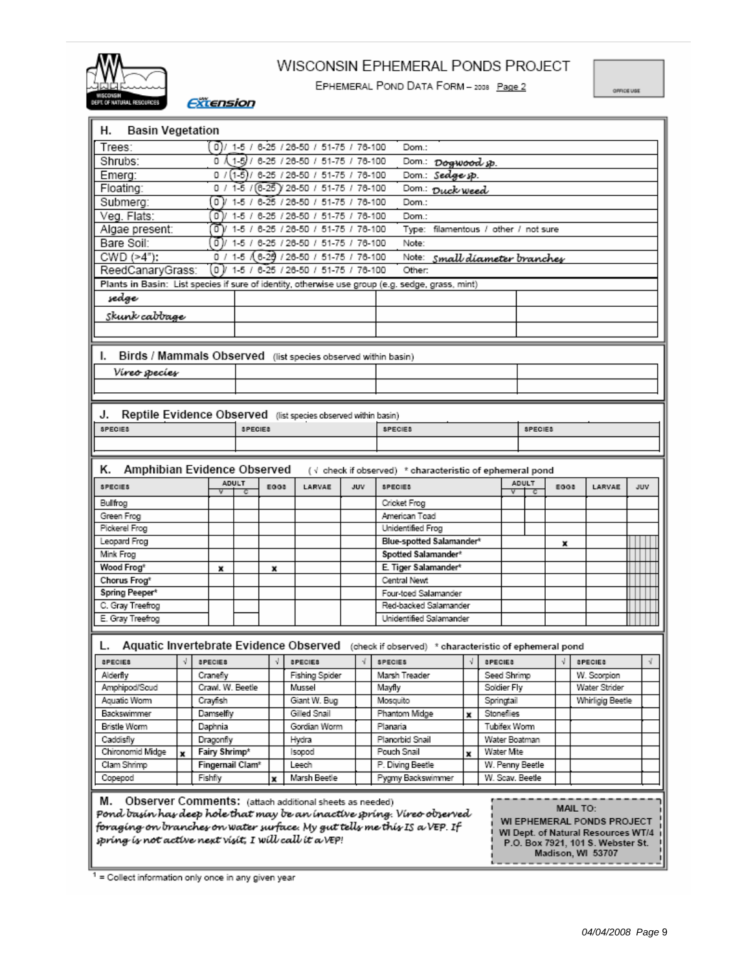

# WISCONSIN EPHEMERAL PONDS PROJECT

EPHEMERAL POND DATA FORM - 2008 Page 2

OFFICE USE

**Extension** 

| <b>Basin Vegetation</b><br>н.                                                                                                                                                                                                                                                                                                                                                                                            |   |                              |                |            |  |                                             |     |  |                                                                                                                 |   |                |                 |                 |      |  |                              |     |  |
|--------------------------------------------------------------------------------------------------------------------------------------------------------------------------------------------------------------------------------------------------------------------------------------------------------------------------------------------------------------------------------------------------------------------------|---|------------------------------|----------------|------------|--|---------------------------------------------|-----|--|-----------------------------------------------------------------------------------------------------------------|---|----------------|-----------------|-----------------|------|--|------------------------------|-----|--|
| Trees:                                                                                                                                                                                                                                                                                                                                                                                                                   |   |                              |                |            |  | $0$ )/ 1-5 / 6-25 / 26-50 / 51-75 / 76-100  |     |  | Dom.:                                                                                                           |   |                |                 |                 |      |  |                              |     |  |
| Shrubs:                                                                                                                                                                                                                                                                                                                                                                                                                  |   |                              |                |            |  | $0$ $(1-5)$ / 6-25 / 26-50 / 51-75 / 76-100 |     |  | Dom.: Dogwood sp.                                                                                               |   |                |                 |                 |      |  |                              |     |  |
| Dom.: Sedge sp.<br>Emerg:<br>0/<br>(1-5)/ 6-25 / 26-50 / 51-75 / 76-100                                                                                                                                                                                                                                                                                                                                                  |   |                              |                |            |  |                                             |     |  |                                                                                                                 |   |                |                 |                 |      |  |                              |     |  |
| Floating:                                                                                                                                                                                                                                                                                                                                                                                                                |   | 0/                           |                |            |  | 1-5 / (6-25) 26-50 / 51-75 / 76-100         |     |  | Dom.: Duck weed                                                                                                 |   |                |                 |                 |      |  |                              |     |  |
| Submera:                                                                                                                                                                                                                                                                                                                                                                                                                 |   | oν                           |                |            |  | 1-5 / 6-25 / 26-50 / 51-75 / 76-100         |     |  | Dom.:                                                                                                           |   |                |                 |                 |      |  |                              |     |  |
| Veg. Flats:                                                                                                                                                                                                                                                                                                                                                                                                              |   | σ                            | $1-5/$         |            |  | 6-25 / 26-50 / 51-75 / 76-100               |     |  | Dom.:                                                                                                           |   |                |                 |                 |      |  |                              |     |  |
| Algae present:                                                                                                                                                                                                                                                                                                                                                                                                           |   | σV                           |                |            |  | 1-5 / 6-25 / 26-50 / 51-75 / 76-100         |     |  | Type: filamentous / other / not sure                                                                            |   |                |                 |                 |      |  |                              |     |  |
| Bare Soil:                                                                                                                                                                                                                                                                                                                                                                                                               |   | 0 )/                         |                |            |  | 1-5 / 6-25 / 26-50 / 51-75 / 76-100         |     |  | Note:                                                                                                           |   |                |                 |                 |      |  |                              |     |  |
| CWD (>4"):                                                                                                                                                                                                                                                                                                                                                                                                               |   | 0 /                          |                |            |  | 1-5 (6-29 / 26-50 / 51-75 / 76-100          |     |  | Note: Small diameter branches                                                                                   |   |                |                 |                 |      |  |                              |     |  |
| ReedCanaryGrass:                                                                                                                                                                                                                                                                                                                                                                                                         |   | οV                           |                |            |  | 1-5 / 6-25 / 26-50 / 51-75 / 76-100         |     |  | Other:                                                                                                          |   |                |                 |                 |      |  |                              |     |  |
|                                                                                                                                                                                                                                                                                                                                                                                                                          |   |                              |                |            |  |                                             |     |  | Plants in Basin: List species if sure of identity, otherwise use group (e.g. sedge, grass, mint)                |   |                |                 |                 |      |  |                              |     |  |
| şedge                                                                                                                                                                                                                                                                                                                                                                                                                    |   |                              |                |            |  |                                             |     |  |                                                                                                                 |   |                |                 |                 |      |  |                              |     |  |
| Skunk cabbage                                                                                                                                                                                                                                                                                                                                                                                                            |   |                              |                |            |  |                                             |     |  |                                                                                                                 |   |                |                 |                 |      |  |                              |     |  |
|                                                                                                                                                                                                                                                                                                                                                                                                                          |   |                              |                |            |  |                                             |     |  |                                                                                                                 |   |                |                 |                 |      |  |                              |     |  |
|                                                                                                                                                                                                                                                                                                                                                                                                                          |   |                              |                |            |  |                                             |     |  |                                                                                                                 |   |                |                 |                 |      |  |                              |     |  |
| Birds / Mammals Observed (list species observed within basin)<br>ı.                                                                                                                                                                                                                                                                                                                                                      |   |                              |                |            |  |                                             |     |  |                                                                                                                 |   |                |                 |                 |      |  |                              |     |  |
| Víreo soecíes                                                                                                                                                                                                                                                                                                                                                                                                            |   |                              |                |            |  |                                             |     |  |                                                                                                                 |   |                |                 |                 |      |  |                              |     |  |
|                                                                                                                                                                                                                                                                                                                                                                                                                          |   |                              |                |            |  |                                             |     |  |                                                                                                                 |   |                |                 |                 |      |  |                              |     |  |
|                                                                                                                                                                                                                                                                                                                                                                                                                          |   |                              |                |            |  |                                             |     |  |                                                                                                                 |   |                |                 |                 |      |  |                              |     |  |
| Reptile Evidence Observed (list species observed within basin)<br>J.                                                                                                                                                                                                                                                                                                                                                     |   |                              |                |            |  |                                             |     |  |                                                                                                                 |   |                |                 |                 |      |  |                              |     |  |
| <b>SPECIES</b>                                                                                                                                                                                                                                                                                                                                                                                                           |   |                              | <b>SPECIES</b> |            |  |                                             |     |  | SPECIES                                                                                                         |   |                |                 | SPECIES         |      |  |                              |     |  |
|                                                                                                                                                                                                                                                                                                                                                                                                                          |   |                              |                |            |  |                                             |     |  |                                                                                                                 |   |                |                 |                 |      |  |                              |     |  |
|                                                                                                                                                                                                                                                                                                                                                                                                                          |   |                              |                |            |  |                                             |     |  |                                                                                                                 |   |                |                 |                 |      |  |                              |     |  |
| K.<br>Amphibian Evidence Observed                                                                                                                                                                                                                                                                                                                                                                                        |   |                              |                |            |  |                                             |     |  | (√ check if observed) * characteristic of ephemeral pond                                                        |   |                |                 |                 |      |  |                              |     |  |
| SPECIES                                                                                                                                                                                                                                                                                                                                                                                                                  |   |                              | ADULT          | EGG8       |  | LARVAE                                      | JUV |  | SPECIES                                                                                                         |   |                | ADULT<br>v      | с               | EGG8 |  | LARVAE                       | JUV |  |
| Bullfrog                                                                                                                                                                                                                                                                                                                                                                                                                 |   |                              |                |            |  |                                             |     |  | Cricket Frog                                                                                                    |   |                |                 |                 |      |  |                              |     |  |
| Green Frog                                                                                                                                                                                                                                                                                                                                                                                                               |   |                              |                |            |  |                                             |     |  | American Toad                                                                                                   |   |                |                 |                 |      |  |                              |     |  |
| Pickerel Frog                                                                                                                                                                                                                                                                                                                                                                                                            |   |                              |                |            |  |                                             |     |  | Unidentified Frog                                                                                               |   |                |                 |                 |      |  |                              |     |  |
| Leopard Frog                                                                                                                                                                                                                                                                                                                                                                                                             |   |                              |                |            |  |                                             |     |  | Blue-spotted Salamander*                                                                                        |   |                |                 |                 | x    |  |                              |     |  |
| Mink Frog                                                                                                                                                                                                                                                                                                                                                                                                                |   |                              |                |            |  |                                             |     |  | Spotted Salamander*                                                                                             |   |                |                 |                 |      |  |                              |     |  |
| Wood Frog*                                                                                                                                                                                                                                                                                                                                                                                                               |   | x                            |                | x          |  |                                             |     |  | E. Tiger Salamander*                                                                                            |   |                |                 |                 |      |  |                              |     |  |
| Chorus Frog <sup>*</sup>                                                                                                                                                                                                                                                                                                                                                                                                 |   |                              |                |            |  |                                             |     |  | Central Newt                                                                                                    |   |                |                 |                 |      |  |                              |     |  |
| Spring Peeper*                                                                                                                                                                                                                                                                                                                                                                                                           |   |                              |                |            |  |                                             |     |  | Four-toed Salamander                                                                                            |   |                |                 |                 |      |  |                              |     |  |
| C. Gray Treefrog                                                                                                                                                                                                                                                                                                                                                                                                         |   |                              |                |            |  |                                             |     |  | Red-backed Salamander                                                                                           |   |                |                 |                 |      |  |                              |     |  |
| E. Gray Treefrog                                                                                                                                                                                                                                                                                                                                                                                                         |   |                              |                |            |  |                                             |     |  | Unidentified Salamander                                                                                         |   |                |                 |                 |      |  |                              |     |  |
|                                                                                                                                                                                                                                                                                                                                                                                                                          |   |                              |                |            |  |                                             |     |  |                                                                                                                 |   |                |                 |                 |      |  |                              |     |  |
| SPECIES                                                                                                                                                                                                                                                                                                                                                                                                                  | V |                              |                | $\sqrt{ }$ |  |                                             |     |  | Aquatic Invertebrate Evidence Observed (check if observed) * characteristic of ephemeral pond<br><b>SPECIES</b> | V | <b>SPECIES</b> |                 |                 | V    |  |                              |     |  |
|                                                                                                                                                                                                                                                                                                                                                                                                                          |   | 8 PECIES                     |                |            |  | 8 PECIES<br>Fishing Spider                  |     |  |                                                                                                                 |   |                | Seed Shrimp     |                 |      |  | 8PECIE8                      |     |  |
| Alderfly<br>Amphipod/Scud                                                                                                                                                                                                                                                                                                                                                                                                |   | Cranefly<br>Crawl, W. Beetle |                |            |  | Mussel                                      |     |  | Marsh Treader<br>Mayfly                                                                                         |   |                | Soldier Fly     |                 |      |  | W. Scorpion<br>Water Strider |     |  |
| Aquatic Worm                                                                                                                                                                                                                                                                                                                                                                                                             |   | Crayfish                     |                |            |  | Giant W. Bug                                |     |  | Mosquito                                                                                                        |   | Springtail     |                 |                 |      |  | Whirligig Beetle             |     |  |
| Backswimmer                                                                                                                                                                                                                                                                                                                                                                                                              |   | Damselfly                    |                |            |  | Gilled Snail                                |     |  |                                                                                                                 |   |                |                 |                 |      |  |                              |     |  |
| Bristle Worm                                                                                                                                                                                                                                                                                                                                                                                                             |   | Daphnia                      |                |            |  | Gordian Worm                                |     |  | Phantom Midge<br>Stoneflies<br>x<br>Tubifex Worm<br>Planaria                                                    |   |                |                 |                 |      |  |                              |     |  |
| Caddisfly                                                                                                                                                                                                                                                                                                                                                                                                                |   | Dragonfly                    |                |            |  | Hydra                                       |     |  | Planorbid Snail                                                                                                 |   |                | Water Boatman   |                 |      |  |                              |     |  |
| Chironomid Midge                                                                                                                                                                                                                                                                                                                                                                                                         | × | Fairy Shrimp*                |                |            |  | Isopod                                      |     |  | Pouch Snail                                                                                                     | x |                | Water Mite      |                 |      |  |                              |     |  |
| Clam Shrimp                                                                                                                                                                                                                                                                                                                                                                                                              |   | Fingernail Clam*             |                |            |  | Leech                                       |     |  | P. Diving Beetle                                                                                                |   |                |                 | W. Penny Beetle |      |  |                              |     |  |
| Copepod                                                                                                                                                                                                                                                                                                                                                                                                                  |   | Fishfly                      |                | x          |  | Marsh Beetle                                |     |  | Pygmy Backswimmer                                                                                               |   |                | W. Scav. Beetle |                 |      |  |                              |     |  |
|                                                                                                                                                                                                                                                                                                                                                                                                                          |   |                              |                |            |  |                                             |     |  |                                                                                                                 |   |                |                 |                 |      |  |                              |     |  |
| м.<br>Observer Comments: (attach additional sheets as needed)<br>MAIL TO:<br>Pond basin has deep hole that may be an inactive spring. Vireo observed<br>WI EPHEMERAL PONDS PROJECT<br>foraging on branches on water surface. My gut tells me this IS a VEP. If<br>WI Dept. of Natural Resources WT/4<br>spring is not active next visit, I will call it a VEP!<br>P.O. Box 7921, 101 S. Webster St.<br>Madison, WI 53707 |   |                              |                |            |  |                                             |     |  |                                                                                                                 |   |                |                 |                 |      |  |                              |     |  |

<sup>1</sup> = Collect information only once in any given year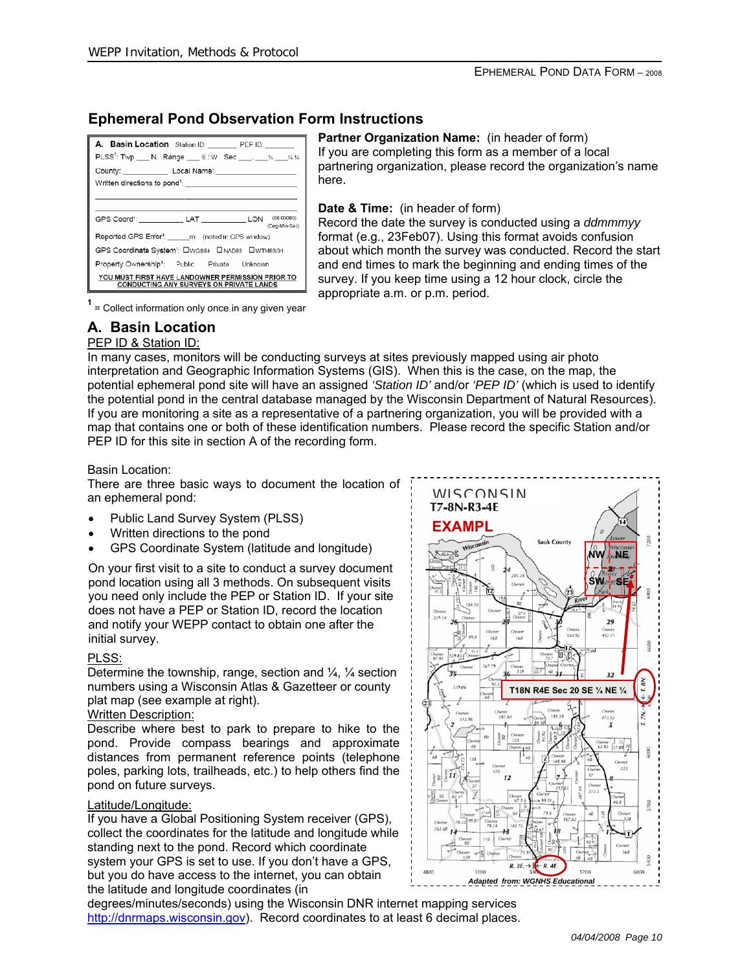# **Ephemeral Pond Observation Form Instructions**

| A. Basin Location Station ID: PEP ID: ____<br>PLSS <sup>1</sup> : Twp N Range E/W Sec , x xx                                                                                                                                                                                          |  |  |  |  |  |
|---------------------------------------------------------------------------------------------------------------------------------------------------------------------------------------------------------------------------------------------------------------------------------------|--|--|--|--|--|
| County: Local Name: Local Design County:<br>Written directions to pond <sup>1</sup> : Notice that the contract of the contract of the contract of the contract of the contract of the contract of the contract of the contract of the contract of the contract of the contract of the |  |  |  |  |  |
| GPS Coord <sup>1</sup> : ____________ LAT _____________ LON (00.00000)<br>(Deg-Mn-Sec)                                                                                                                                                                                                |  |  |  |  |  |
| Reported GPS Error <sup>4</sup> : m (noted in GPS window)                                                                                                                                                                                                                             |  |  |  |  |  |
| GPS Coordinate System <sup>1</sup> : CWGS84 CINAD83 CWTM83/91                                                                                                                                                                                                                         |  |  |  |  |  |
| Property Ownership <sup>1</sup> : Public Private Unknown                                                                                                                                                                                                                              |  |  |  |  |  |
| YOU MUST FIRST HAVE LANDOWNER PERMISSION PRIOR TO<br><b>CONDUCTING ANY SURVEYS ON PRIVATE LANDS</b>                                                                                                                                                                                   |  |  |  |  |  |

**Partner Organization Name:** (in header of form) If you are completing this form as a member of a local partnering organization, please record the organization's name here.

**Date & Time:** (in header of form)

Record the date the survey is conducted using a *ddmmmyy* format (e.g., 23Feb07). Using this format avoids confusion about which month the survey was conducted. Record the start and end times to mark the beginning and ending times of the survey. If you keep time using a 12 hour clock, circle the appropriate a.m. or p.m. period. **<sup>1</sup>**

 $<sup>1</sup>$  = Collect information only once in any given year</sup>

### **A. Basin Location**

#### PEP ID & Station ID:

In many cases, monitors will be conducting surveys at sites previously mapped using air photo interpretation and Geographic Information Systems (GIS). When this is the case, on the map, the potential ephemeral pond site will have an assigned *'Station ID'* and/or *'PEP ID'* (which is used to identify the potential pond in the central database managed by the Wisconsin Department of Natural Resources). If you are monitoring a site as a representative of a partnering organization, you will be provided with a map that contains one or both of these identification numbers. Please record the specific Station and/or PEP ID for this site in section A of the recording form.

Basin Location:

There are three basic ways to document the location of an ephemeral pond:

- Public Land Survey System (PLSS)
- Written directions to the pond
- GPS Coordinate System (latitude and longitude)

On your first visit to a site to conduct a survey document pond location using all 3 methods. On subsequent visits you need only include the PEP or Station ID. If your site does not have a PEP or Station ID, record the location and notify your WEPP contact to obtain one after the initial survey.

#### PLSS:

Determine the township, range, section and  $\frac{1}{4}$ ,  $\frac{1}{4}$  section numbers using a Wisconsin Atlas & Gazetteer or county plat map (see example at right).

#### Written Description:

Describe where best to park to prepare to hike to the pond. Provide compass bearings and approximate distances from permanent reference points (telephone poles, parking lots, trailheads, etc.) to help others find the pond on future surveys.

#### Latitude/Longitude:

If you have a Global Positioning System receiver (GPS), collect the coordinates for the latitude and longitude while standing next to the pond. Record which coordinate system your GPS is set to use. If you don't have a GPS, but you do have access to the internet, you can obtain the latitude and longitude coordinates (in

degrees/minutes/seconds) using the Wisconsin DNR internet mapping services http://dnrmaps.wisconsin.gov). Record coordinates to at least 6 decimal places.

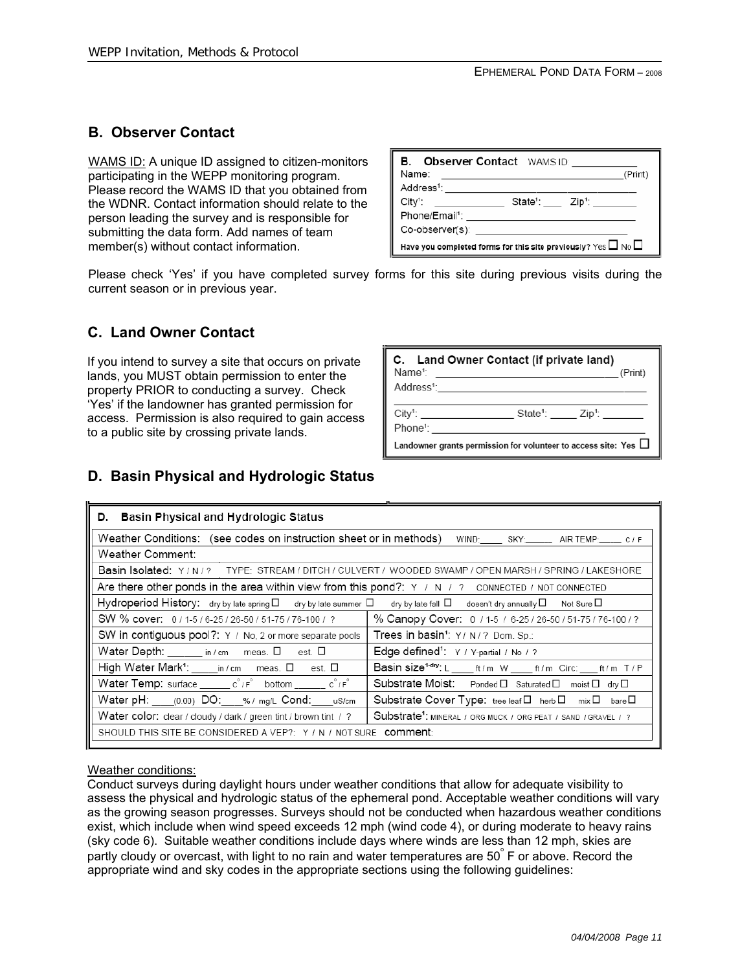# **B. Observer Contact**

WAMS ID: A unique ID assigned to citizen-monitors participating in the WEPP monitoring program. Please record the WAMS ID that you obtained from the WDNR. Contact information should relate to the person leading the survey and is responsible for submitting the data form. Add names of team member(s) without contact information.

|                                                                                 | <b>B.</b> Observer Contact WAMS ID: |  |  |  |  |
|---------------------------------------------------------------------------------|-------------------------------------|--|--|--|--|
| Name:                                                                           | (Print)                             |  |  |  |  |
| Address <sup>1</sup> : _____________                                            |                                     |  |  |  |  |
| $\mathsf{City}$ :                                                               |                                     |  |  |  |  |
| Phone/Email <sup>1</sup> :                                                      |                                     |  |  |  |  |
| Co-observer(s): ______________                                                  |                                     |  |  |  |  |
| Have you completed forms for this site previously? $\gamma$ es $\Box$ No $\Box$ |                                     |  |  |  |  |

Please check 'Yes' if you have completed survey forms for this site during previous visits during the current season or in previous year.

# **C. Land Owner Contact**

If you intend to survey a site that occurs on private lands, you MUST obtain permission to enter the property PRIOR to conducting a survey. Check 'Yes' if the landowner has granted permission for access. Permission is also required to gain access to a public site by crossing private lands.

| C. Land Owner Contact (if private land)<br>Name <sup>1</sup> : _________________________________ | (Print) |  |  |  |  |  |
|--------------------------------------------------------------------------------------------------|---------|--|--|--|--|--|
| Address <sup>1</sup> : <u>_________________________</u>                                          |         |  |  |  |  |  |
| City <sup>1</sup> : State <sup>1</sup> : Zip <sup>1</sup> :                                      |         |  |  |  |  |  |
| Landowner grants permission for volunteer to access site: Yes $\Box$                             |         |  |  |  |  |  |

# **D. Basin Physical and Hydrologic Status**

| D. Basin Physical and Hydrologic Status                                                                                                        |                                                                                           |  |  |  |  |  |
|------------------------------------------------------------------------------------------------------------------------------------------------|-------------------------------------------------------------------------------------------|--|--|--|--|--|
| Weather Conditions: (see codes on instruction sheet or in methods)                                                                             | WIND: SKY: _____ AIR TEMP: ____ C / F                                                     |  |  |  |  |  |
| Weather Comment:                                                                                                                               |                                                                                           |  |  |  |  |  |
|                                                                                                                                                | Basin Isolated: Y/N/? TYPE: STREAM/DITCH/CULVERT/WOODED SWAMP/OPEN MARSH/SPRING/LAKESHORE |  |  |  |  |  |
| Are there other ponds in the area within view from this pond?: $Y \neq N$ , $2$ connected $\neq$ Not connected                                 |                                                                                           |  |  |  |  |  |
| Hydroperiod History: dry by late spring $\Box$ dry by late summer $\Box$ dry by late fall $\Box$ doesn't dry annually $\Box$ Not Sure $\Box$   |                                                                                           |  |  |  |  |  |
| SW % cover: 0/1-5/6-25/26-50/51-75/76-100/?                                                                                                    | % Canopy Cover: 0 / 1-5 / 6-25 / 26-50 / 51-75 / 76-100 / ?                               |  |  |  |  |  |
| SW in contiguous pool?: Y / No, 2 or more separate pools                                                                                       | Trees in basin <sup>1</sup> : Y/ N/? Dom. Sp.:                                            |  |  |  |  |  |
| Water Depth: _____ in / cm  meas. O  est. O                                                                                                    | Edge defined <sup>1</sup> : Y / Y-partial / No / ?                                        |  |  |  |  |  |
| High Water Mark <sup>1</sup> : ____ in / cm  meas. □  est. □                                                                                   | Basin size <sup>1-dry</sup> : L _____ ft/m W _____ ft/m Circ: ____ ft/m T/P               |  |  |  |  |  |
| Water Temp: surface ________ c°/F° bottom ________ c°/F°<br>Substrate Moist: Ponded D Saturated D moist D dry D                                |                                                                                           |  |  |  |  |  |
| Water pH: ____(0.00) DO: ___% / mg/L Cond: ____ uS/cm<br>Substrate Cover Type: tree leaf□ herb□ mix□ bare□                                     |                                                                                           |  |  |  |  |  |
| Substrate <sup>1</sup> : MINERAL / ORG MUCK / ORG PEAT / SAND / GRAVEL / ?<br>Water color: clear / cloudy / dark / green tint / brown tint / ? |                                                                                           |  |  |  |  |  |
| SHOULD THIS SITE BE CONSIDERED A VEP?: Y / N / NOT SURE COMMENT:                                                                               |                                                                                           |  |  |  |  |  |
|                                                                                                                                                |                                                                                           |  |  |  |  |  |

#### Weather conditions:

Conduct surveys during daylight hours under weather conditions that allow for adequate visibility to assess the physical and hydrologic status of the ephemeral pond. Acceptable weather conditions will vary as the growing season progresses. Surveys should not be conducted when hazardous weather conditions exist, which include when wind speed exceeds 12 mph (wind code 4), or during moderate to heavy rains (sky code 6). Suitable weather conditions include days where winds are less than 12 mph, skies are partly cloudy or overcast, with light to no rain and water temperatures are 50° F or above. Record the appropriate wind and sky codes in the appropriate sections using the following guidelines: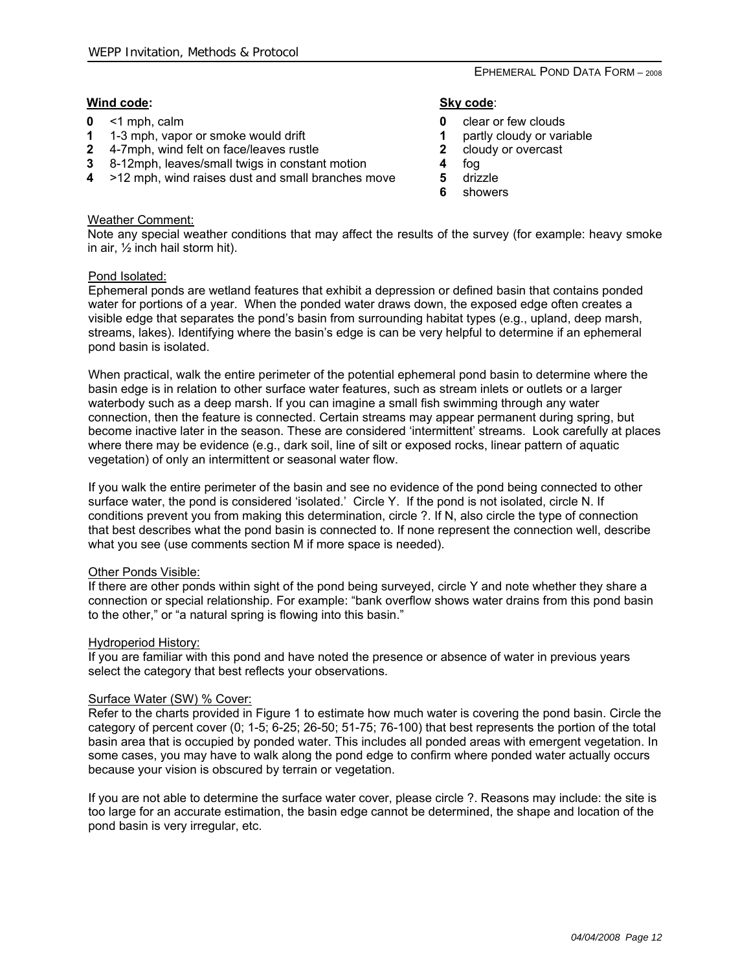#### EPHEMERAL POND DATA FORM – 2008

#### **Wind code:**

- **0** <1 mph, calm
- **1** 1-3 mph, vapor or smoke would drift
- **2** 4-7mph, wind felt on face/leaves rustle
- **3** 8-12mph, leaves/small twigs in constant motion
- **4** >12 mph, wind raises dust and small branches move

#### **Sky code**:

- **0** clear or few clouds
- **1** partly cloudy or variable
- **2** cloudy or overcast
- **4** fog
- **5** drizzle
- **6** showers

#### Weather Comment:

Note any special weather conditions that may affect the results of the survey (for example: heavy smoke in air, ½ inch hail storm hit).

#### Pond Isolated:

Ephemeral ponds are wetland features that exhibit a depression or defined basin that contains ponded water for portions of a year. When the ponded water draws down, the exposed edge often creates a visible edge that separates the pond's basin from surrounding habitat types (e.g., upland, deep marsh, streams, lakes). Identifying where the basin's edge is can be very helpful to determine if an ephemeral pond basin is isolated.

When practical, walk the entire perimeter of the potential ephemeral pond basin to determine where the basin edge is in relation to other surface water features, such as stream inlets or outlets or a larger waterbody such as a deep marsh. If you can imagine a small fish swimming through any water connection, then the feature is connected. Certain streams may appear permanent during spring, but become inactive later in the season. These are considered 'intermittent' streams. Look carefully at places where there may be evidence (e.g., dark soil, line of silt or exposed rocks, linear pattern of aquatic vegetation) of only an intermittent or seasonal water flow.

If you walk the entire perimeter of the basin and see no evidence of the pond being connected to other surface water, the pond is considered 'isolated.' Circle Y. If the pond is not isolated, circle N. If conditions prevent you from making this determination, circle ?. If N, also circle the type of connection that best describes what the pond basin is connected to. If none represent the connection well, describe what you see (use comments section M if more space is needed).

#### Other Ponds Visible:

If there are other ponds within sight of the pond being surveyed, circle Y and note whether they share a connection or special relationship. For example: "bank overflow shows water drains from this pond basin to the other," or "a natural spring is flowing into this basin."

#### Hydroperiod History:

If you are familiar with this pond and have noted the presence or absence of water in previous years select the category that best reflects your observations.

#### Surface Water (SW) % Cover:

Refer to the charts provided in Figure 1 to estimate how much water is covering the pond basin. Circle the category of percent cover (0; 1-5; 6-25; 26-50; 51-75; 76-100) that best represents the portion of the total basin area that is occupied by ponded water. This includes all ponded areas with emergent vegetation. In some cases, you may have to walk along the pond edge to confirm where ponded water actually occurs because your vision is obscured by terrain or vegetation.

If you are not able to determine the surface water cover, please circle ?. Reasons may include: the site is too large for an accurate estimation, the basin edge cannot be determined, the shape and location of the pond basin is very irregular, etc.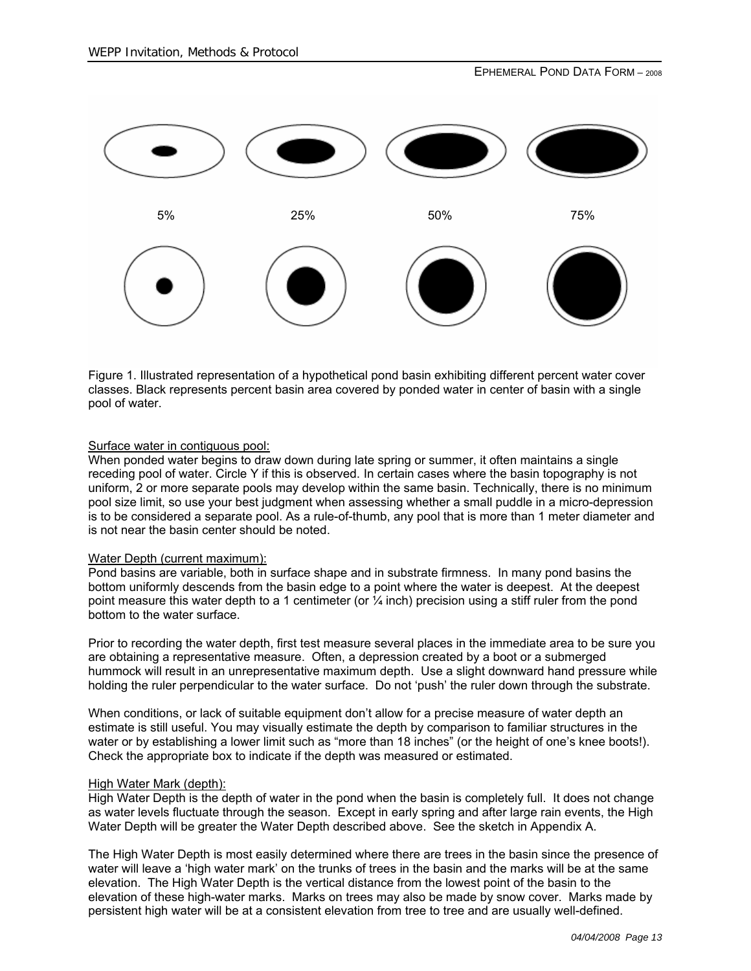

Figure 1. Illustrated representation of a hypothetical pond basin exhibiting different percent water cover classes. Black represents percent basin area covered by ponded water in center of basin with a single pool of water.

#### Surface water in contiguous pool:

When ponded water begins to draw down during late spring or summer, it often maintains a single receding pool of water. Circle Y if this is observed. In certain cases where the basin topography is not uniform, 2 or more separate pools may develop within the same basin. Technically, there is no minimum pool size limit, so use your best judgment when assessing whether a small puddle in a micro-depression is to be considered a separate pool. As a rule-of-thumb, any pool that is more than 1 meter diameter and is not near the basin center should be noted.

#### Water Depth (current maximum):

Pond basins are variable, both in surface shape and in substrate firmness. In many pond basins the bottom uniformly descends from the basin edge to a point where the water is deepest. At the deepest point measure this water depth to a 1 centimeter (or ¼ inch) precision using a stiff ruler from the pond bottom to the water surface.

Prior to recording the water depth, first test measure several places in the immediate area to be sure you are obtaining a representative measure. Often, a depression created by a boot or a submerged hummock will result in an unrepresentative maximum depth. Use a slight downward hand pressure while holding the ruler perpendicular to the water surface. Do not 'push' the ruler down through the substrate.

When conditions, or lack of suitable equipment don't allow for a precise measure of water depth an estimate is still useful. You may visually estimate the depth by comparison to familiar structures in the water or by establishing a lower limit such as "more than 18 inches" (or the height of one's knee boots!). Check the appropriate box to indicate if the depth was measured or estimated.

#### High Water Mark (depth):

High Water Depth is the depth of water in the pond when the basin is completely full. It does not change as water levels fluctuate through the season. Except in early spring and after large rain events, the High Water Depth will be greater the Water Depth described above. See the sketch in Appendix A.

The High Water Depth is most easily determined where there are trees in the basin since the presence of water will leave a 'high water mark' on the trunks of trees in the basin and the marks will be at the same elevation. The High Water Depth is the vertical distance from the lowest point of the basin to the elevation of these high-water marks. Marks on trees may also be made by snow cover. Marks made by persistent high water will be at a consistent elevation from tree to tree and are usually well-defined.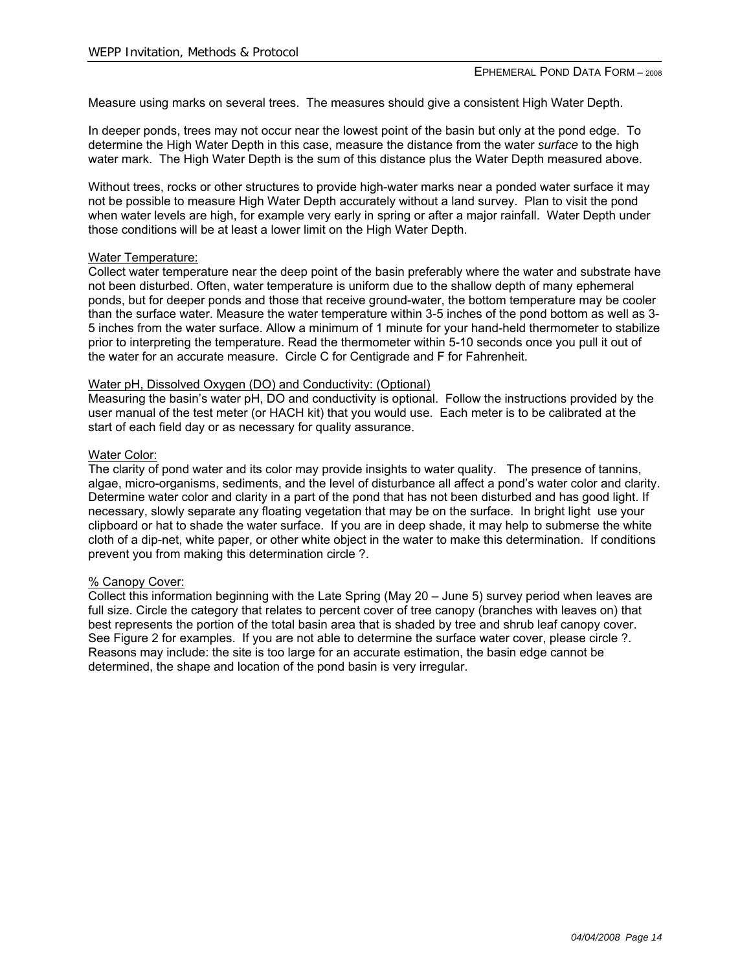Measure using marks on several trees. The measures should give a consistent High Water Depth.

In deeper ponds, trees may not occur near the lowest point of the basin but only at the pond edge. To determine the High Water Depth in this case, measure the distance from the water *surface* to the high water mark. The High Water Depth is the sum of this distance plus the Water Depth measured above.

Without trees, rocks or other structures to provide high-water marks near a ponded water surface it may not be possible to measure High Water Depth accurately without a land survey. Plan to visit the pond when water levels are high, for example very early in spring or after a major rainfall. Water Depth under those conditions will be at least a lower limit on the High Water Depth.

#### Water Temperature:

Collect water temperature near the deep point of the basin preferably where the water and substrate have not been disturbed. Often, water temperature is uniform due to the shallow depth of many ephemeral ponds, but for deeper ponds and those that receive ground-water, the bottom temperature may be cooler than the surface water. Measure the water temperature within 3-5 inches of the pond bottom as well as 3- 5 inches from the water surface. Allow a minimum of 1 minute for your hand-held thermometer to stabilize prior to interpreting the temperature. Read the thermometer within 5-10 seconds once you pull it out of the water for an accurate measure. Circle C for Centigrade and F for Fahrenheit.

#### Water pH, Dissolved Oxygen (DO) and Conductivity: (Optional)

Measuring the basin's water pH, DO and conductivity is optional. Follow the instructions provided by the user manual of the test meter (or HACH kit) that you would use. Each meter is to be calibrated at the start of each field day or as necessary for quality assurance.

#### Water Color:

The clarity of pond water and its color may provide insights to water quality. The presence of tannins, algae, micro-organisms, sediments, and the level of disturbance all affect a pond's water color and clarity. Determine water color and clarity in a part of the pond that has not been disturbed and has good light. If necessary, slowly separate any floating vegetation that may be on the surface. In bright light use your clipboard or hat to shade the water surface. If you are in deep shade, it may help to submerse the white cloth of a dip-net, white paper, or other white object in the water to make this determination. If conditions prevent you from making this determination circle ?.

#### % Canopy Cover:

Collect this information beginning with the Late Spring (May 20 – June 5) survey period when leaves are full size. Circle the category that relates to percent cover of tree canopy (branches with leaves on) that best represents the portion of the total basin area that is shaded by tree and shrub leaf canopy cover. See Figure 2 for examples. If you are not able to determine the surface water cover, please circle ?. Reasons may include: the site is too large for an accurate estimation, the basin edge cannot be determined, the shape and location of the pond basin is very irregular.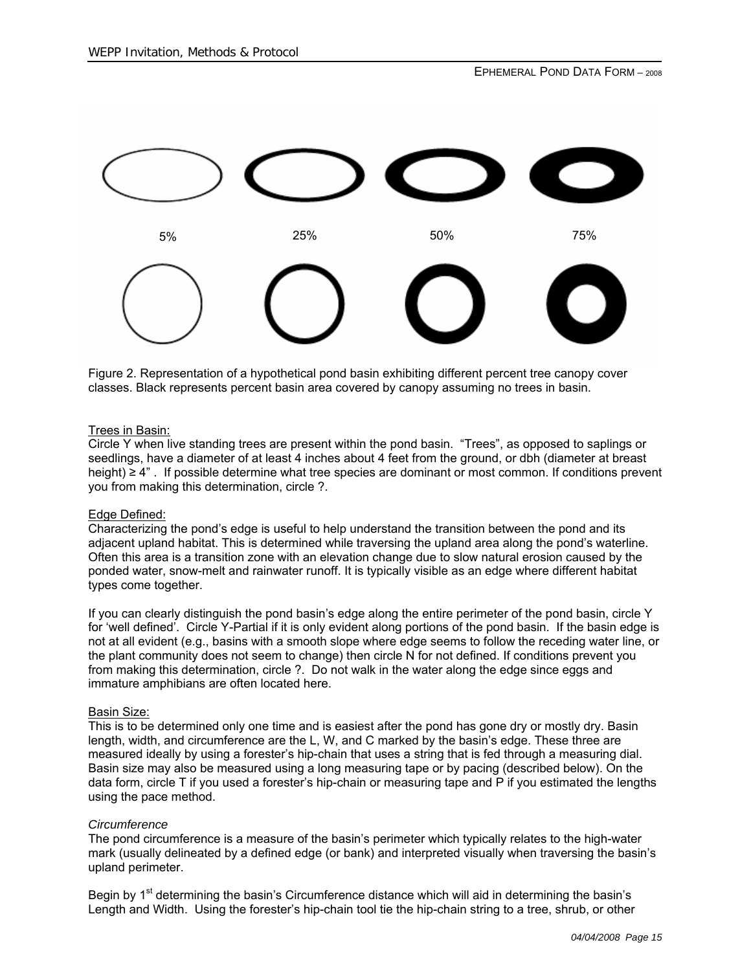

Figure 2. Representation of a hypothetical pond basin exhibiting different percent tree canopy cover classes. Black represents percent basin area covered by canopy assuming no trees in basin.

#### Trees in Basin:

Circle Y when live standing trees are present within the pond basin. "Trees", as opposed to saplings or seedlings, have a diameter of at least 4 inches about 4 feet from the ground, or dbh (diameter at breast height) ≥ 4" . If possible determine what tree species are dominant or most common. If conditions prevent you from making this determination, circle ?.

#### Edge Defined:

Characterizing the pond's edge is useful to help understand the transition between the pond and its adjacent upland habitat. This is determined while traversing the upland area along the pond's waterline. Often this area is a transition zone with an elevation change due to slow natural erosion caused by the ponded water, snow-melt and rainwater runoff. It is typically visible as an edge where different habitat types come together.

If you can clearly distinguish the pond basin's edge along the entire perimeter of the pond basin, circle Y for 'well defined'. Circle Y-Partial if it is only evident along portions of the pond basin. If the basin edge is not at all evident (e.g., basins with a smooth slope where edge seems to follow the receding water line, or the plant community does not seem to change) then circle N for not defined. If conditions prevent you from making this determination, circle ?. Do not walk in the water along the edge since eggs and immature amphibians are often located here.

#### Basin Size:

This is to be determined only one time and is easiest after the pond has gone dry or mostly dry. Basin length, width, and circumference are the L, W, and C marked by the basin's edge. These three are measured ideally by using a forester's hip-chain that uses a string that is fed through a measuring dial. Basin size may also be measured using a long measuring tape or by pacing (described below). On the data form, circle T if you used a forester's hip-chain or measuring tape and P if you estimated the lengths using the pace method.

#### *Circumference*

The pond circumference is a measure of the basin's perimeter which typically relates to the high-water mark (usually delineated by a defined edge (or bank) and interpreted visually when traversing the basin's upland perimeter.

Begin by  $1<sup>st</sup>$  determining the basin's Circumference distance which will aid in determining the basin's Length and Width. Using the forester's hip-chain tool tie the hip-chain string to a tree, shrub, or other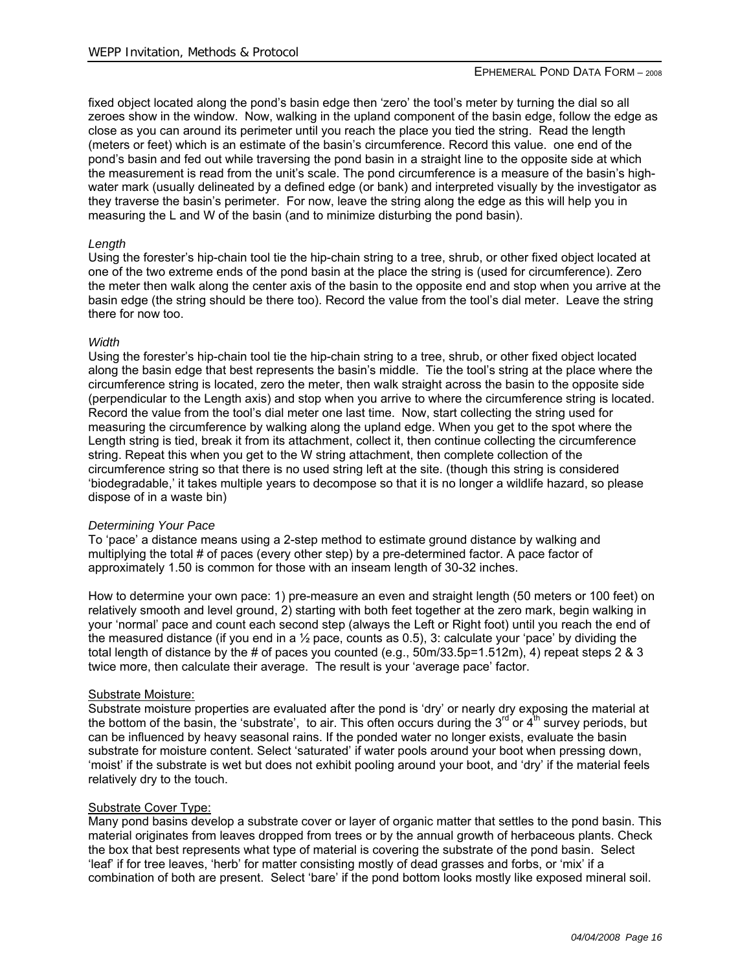fixed object located along the pond's basin edge then 'zero' the tool's meter by turning the dial so all zeroes show in the window. Now, walking in the upland component of the basin edge, follow the edge as close as you can around its perimeter until you reach the place you tied the string. Read the length (meters or feet) which is an estimate of the basin's circumference. Record this value. one end of the pond's basin and fed out while traversing the pond basin in a straight line to the opposite side at which the measurement is read from the unit's scale. The pond circumference is a measure of the basin's highwater mark (usually delineated by a defined edge (or bank) and interpreted visually by the investigator as they traverse the basin's perimeter. For now, leave the string along the edge as this will help you in measuring the L and W of the basin (and to minimize disturbing the pond basin).

#### *Length*

Using the forester's hip-chain tool tie the hip-chain string to a tree, shrub, or other fixed object located at one of the two extreme ends of the pond basin at the place the string is (used for circumference). Zero the meter then walk along the center axis of the basin to the opposite end and stop when you arrive at the basin edge (the string should be there too). Record the value from the tool's dial meter. Leave the string there for now too.

#### *Width*

Using the forester's hip-chain tool tie the hip-chain string to a tree, shrub, or other fixed object located along the basin edge that best represents the basin's middle. Tie the tool's string at the place where the circumference string is located, zero the meter, then walk straight across the basin to the opposite side (perpendicular to the Length axis) and stop when you arrive to where the circumference string is located. Record the value from the tool's dial meter one last time. Now, start collecting the string used for measuring the circumference by walking along the upland edge. When you get to the spot where the Length string is tied, break it from its attachment, collect it, then continue collecting the circumference string. Repeat this when you get to the W string attachment, then complete collection of the circumference string so that there is no used string left at the site. (though this string is considered 'biodegradable,' it takes multiple years to decompose so that it is no longer a wildlife hazard, so please dispose of in a waste bin)

#### *Determining Your Pace*

To 'pace' a distance means using a 2-step method to estimate ground distance by walking and multiplying the total # of paces (every other step) by a pre-determined factor. A pace factor of approximately 1.50 is common for those with an inseam length of 30-32 inches.

How to determine your own pace: 1) pre-measure an even and straight length (50 meters or 100 feet) on relatively smooth and level ground, 2) starting with both feet together at the zero mark, begin walking in your 'normal' pace and count each second step (always the Left or Right foot) until you reach the end of the measured distance (if you end in a  $\frac{1}{2}$  pace, counts as 0.5), 3: calculate your 'pace' by dividing the total length of distance by the # of paces you counted (e.g., 50m/33.5p=1.512m), 4) repeat steps 2 & 3 twice more, then calculate their average. The result is your 'average pace' factor.

#### Substrate Moisture:

Substrate moisture properties are evaluated after the pond is 'dry' or nearly dry exposing the material at the bottom of the basin, the 'substrate', to air. This often occurs during the  $3<sup>rd</sup>$  or  $4<sup>th</sup>$  survey periods, but can be influenced by heavy seasonal rains. If the ponded water no longer exists, evaluate the basin substrate for moisture content. Select 'saturated' if water pools around your boot when pressing down, 'moist' if the substrate is wet but does not exhibit pooling around your boot, and 'dry' if the material feels relatively dry to the touch.

#### Substrate Cover Type:

Many pond basins develop a substrate cover or layer of organic matter that settles to the pond basin. This material originates from leaves dropped from trees or by the annual growth of herbaceous plants. Check the box that best represents what type of material is covering the substrate of the pond basin. Select 'leaf' if for tree leaves, 'herb' for matter consisting mostly of dead grasses and forbs, or 'mix' if a combination of both are present. Select 'bare' if the pond bottom looks mostly like exposed mineral soil.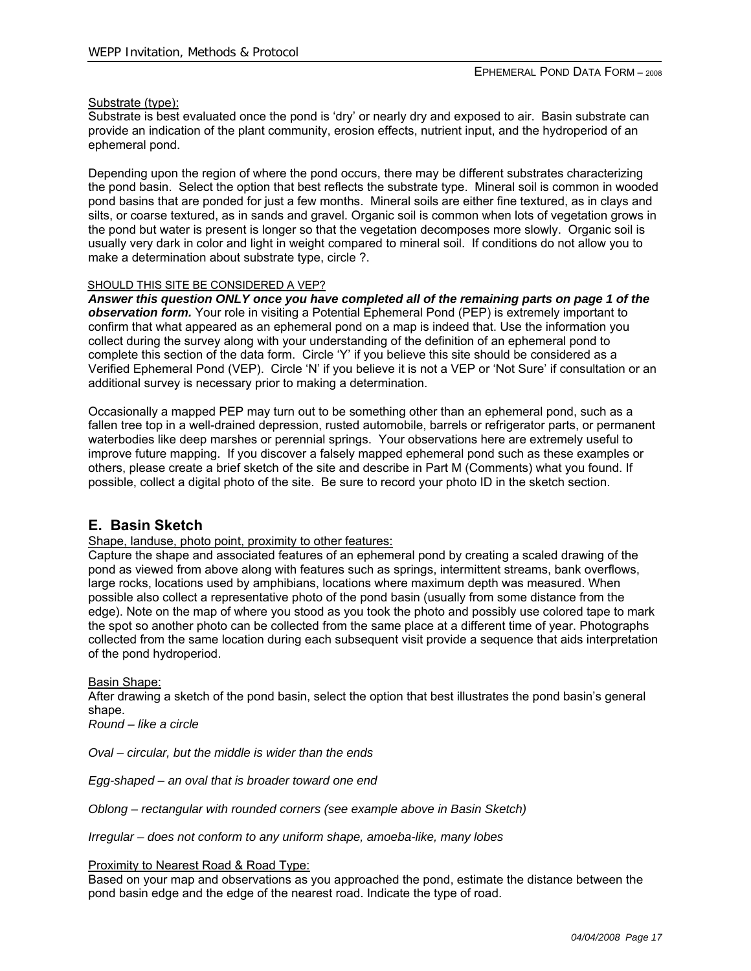#### Substrate (type):

Substrate is best evaluated once the pond is 'dry' or nearly dry and exposed to air. Basin substrate can provide an indication of the plant community, erosion effects, nutrient input, and the hydroperiod of an ephemeral pond.

Depending upon the region of where the pond occurs, there may be different substrates characterizing the pond basin. Select the option that best reflects the substrate type. Mineral soil is common in wooded pond basins that are ponded for just a few months. Mineral soils are either fine textured, as in clays and silts, or coarse textured, as in sands and gravel. Organic soil is common when lots of vegetation grows in the pond but water is present is longer so that the vegetation decomposes more slowly. Organic soil is usually very dark in color and light in weight compared to mineral soil. If conditions do not allow you to make a determination about substrate type, circle ?.

#### SHOULD THIS SITE BE CONSIDERED A VEP?

*Answer this question ONLY once you have completed all of the remaining parts on page 1 of the observation form.* Your role in visiting a Potential Ephemeral Pond (PEP) is extremely important to confirm that what appeared as an ephemeral pond on a map is indeed that. Use the information you collect during the survey along with your understanding of the definition of an ephemeral pond to complete this section of the data form. Circle 'Y' if you believe this site should be considered as a Verified Ephemeral Pond (VEP). Circle 'N' if you believe it is not a VEP or 'Not Sure' if consultation or an additional survey is necessary prior to making a determination.

Occasionally a mapped PEP may turn out to be something other than an ephemeral pond, such as a fallen tree top in a well-drained depression, rusted automobile, barrels or refrigerator parts, or permanent waterbodies like deep marshes or perennial springs. Your observations here are extremely useful to improve future mapping. If you discover a falsely mapped ephemeral pond such as these examples or others, please create a brief sketch of the site and describe in Part M (Comments) what you found. If possible, collect a digital photo of the site. Be sure to record your photo ID in the sketch section.

### **E. Basin Sketch**

Shape, landuse, photo point, proximity to other features:

Capture the shape and associated features of an ephemeral pond by creating a scaled drawing of the pond as viewed from above along with features such as springs, intermittent streams, bank overflows, large rocks, locations used by amphibians, locations where maximum depth was measured. When possible also collect a representative photo of the pond basin (usually from some distance from the edge). Note on the map of where you stood as you took the photo and possibly use colored tape to mark the spot so another photo can be collected from the same place at a different time of year. Photographs collected from the same location during each subsequent visit provide a sequence that aids interpretation of the pond hydroperiod.

Basin Shape:

After drawing a sketch of the pond basin, select the option that best illustrates the pond basin's general shape.

*Round – like a circle* 

*Oval – circular, but the middle is wider than the ends* 

*Egg-shaped – an oval that is broader toward one end* 

*Oblong – rectangular with rounded corners (see example above in Basin Sketch)* 

*Irregular – does not conform to any uniform shape, amoeba-like, many lobes* 

Proximity to Nearest Road & Road Type:

Based on your map and observations as you approached the pond, estimate the distance between the pond basin edge and the edge of the nearest road. Indicate the type of road.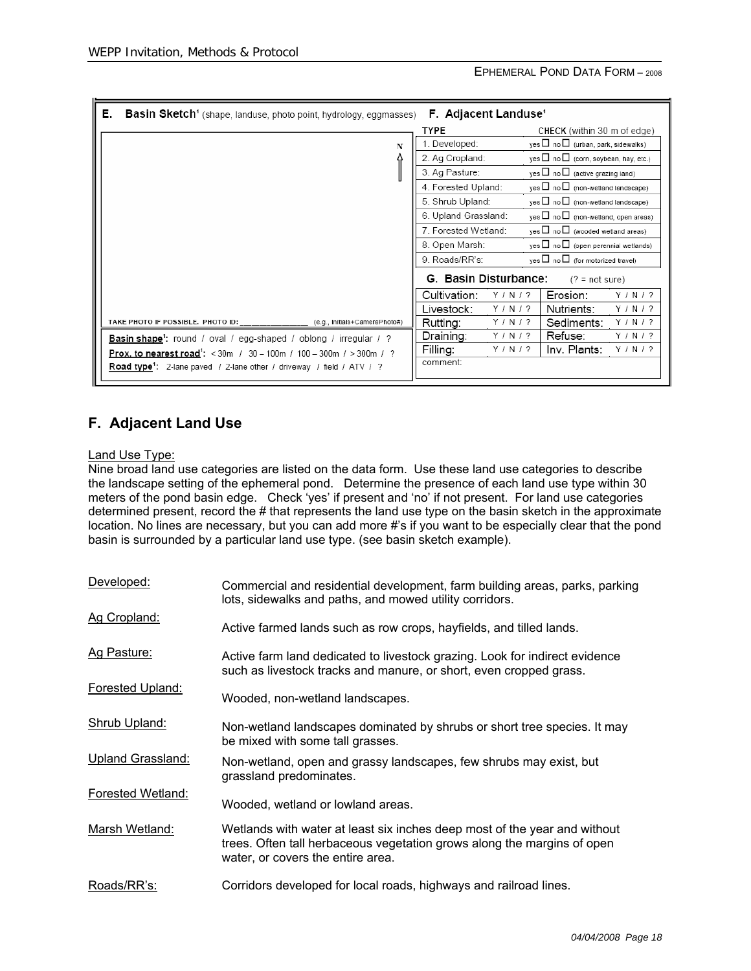| Е.<br><b>Basin Sketch</b> <sup>1</sup> (shape, landuse, photo point, hydrology, eggmasses) | <b>F. Adjacent Landuse<sup>1</sup></b> |                                                                                  |
|--------------------------------------------------------------------------------------------|----------------------------------------|----------------------------------------------------------------------------------|
|                                                                                            | <b>TYPE</b>                            | CHECK (within 30 m of edge)                                                      |
| N                                                                                          | 1. Developed:                          | yes $\Box$ no $\Box$ (urban, park, sidewalks)                                    |
|                                                                                            | 2. Ag Cropland:                        | yes $\Box$ no $\Box$ (corn, soybean, hay, etc.)                                  |
|                                                                                            | 3. Ag Pasture:                         | $\mathsf{ves} \ \Box \ \mathsf{no} \ \Box$ (active grazing land)                 |
|                                                                                            | 4. Forested Upland:                    | yes □ no □ (non-wetland landscape)                                               |
|                                                                                            | 5. Shrub Upland:                       | yes □ no □ (non-wetland landscape)                                               |
|                                                                                            | 6. Upland Grassland:                   | $yes \Box no \Box$ (non-wetland, open areas)                                     |
|                                                                                            | 7. Forested Wetland:                   | yes $\Box$ no $\Box$ (wooded wetland areas)                                      |
|                                                                                            | 8. Open Marsh:                         | yes $\Box$ no $\Box$ (open perennial wetlands)                                   |
|                                                                                            | 9. Roads/RR's:                         | $\mathsf{yes} \ \Box \ \mathsf{no} \ \Box \ \mathsf{(for \ motorized \ travel)}$ |
|                                                                                            | G. Basin Disturbance:                  | $(2 = not sure)$                                                                 |
|                                                                                            | Cultivation:<br>Y/N/2                  | Y / N / ?<br>Erosion:                                                            |
|                                                                                            | Livestock:<br>Y/N/2                    | Y/N/2<br>Nutrients:                                                              |
| TAKE PHOTO IF POSSIBLE. PHOTO ID:<br>(e.g., Initials+CameraPhoto#)                         | Y / N / ?<br>Rutting:                  | Y / N / ?<br>Sediments:                                                          |
| <b>Basin shape</b> <sup>1</sup> : round / oval / egg-shaped / oblong / irregular / ?       | Y / N / ?<br>Draining:                 | Refuse:<br>Y/N/2                                                                 |
| <b>Prox. to nearest road<sup>1</sup>:</b> < 30m / 30 - 100m / 100 - 300m / > 300m / ?      | Filling:<br>Y / N / ?                  | Inv. Plants:<br>Y / N / ?                                                        |
| Road type <sup>1</sup> : 2-lane paved / 2-lane other / driveway / field / ATV / ?          | comment:                               |                                                                                  |

# **F. Adjacent Land Use**

#### Land Use Type:

Nine broad land use categories are listed on the data form. Use these land use categories to describe the landscape setting of the ephemeral pond. Determine the presence of each land use type within 30 meters of the pond basin edge. Check 'yes' if present and 'no' if not present. For land use categories determined present, record the # that represents the land use type on the basin sketch in the approximate location. No lines are necessary, but you can add more #'s if you want to be especially clear that the pond basin is surrounded by a particular land use type. (see basin sketch example).

| Developed:               | Commercial and residential development, farm building areas, parks, parking<br>lots, sidewalks and paths, and mowed utility corridors.                                                    |
|--------------------------|-------------------------------------------------------------------------------------------------------------------------------------------------------------------------------------------|
| Ag Cropland:             | Active farmed lands such as row crops, hayfields, and tilled lands.                                                                                                                       |
| Ag Pasture:              | Active farm land dedicated to livestock grazing. Look for indirect evidence<br>such as livestock tracks and manure, or short, even cropped grass.                                         |
| <b>Forested Upland:</b>  | Wooded, non-wetland landscapes.                                                                                                                                                           |
| Shrub Upland:            | Non-wetland landscapes dominated by shrubs or short tree species. It may<br>be mixed with some tall grasses.                                                                              |
| <b>Upland Grassland:</b> | Non-wetland, open and grassy landscapes, few shrubs may exist, but<br>grassland predominates.                                                                                             |
| Forested Wetland:        | Wooded, wetland or lowland areas.                                                                                                                                                         |
| Marsh Wetland:           | Wetlands with water at least six inches deep most of the year and without<br>trees. Often tall herbaceous vegetation grows along the margins of open<br>water, or covers the entire area. |
| Roads/RR's:              | Corridors developed for local roads, highways and railroad lines.                                                                                                                         |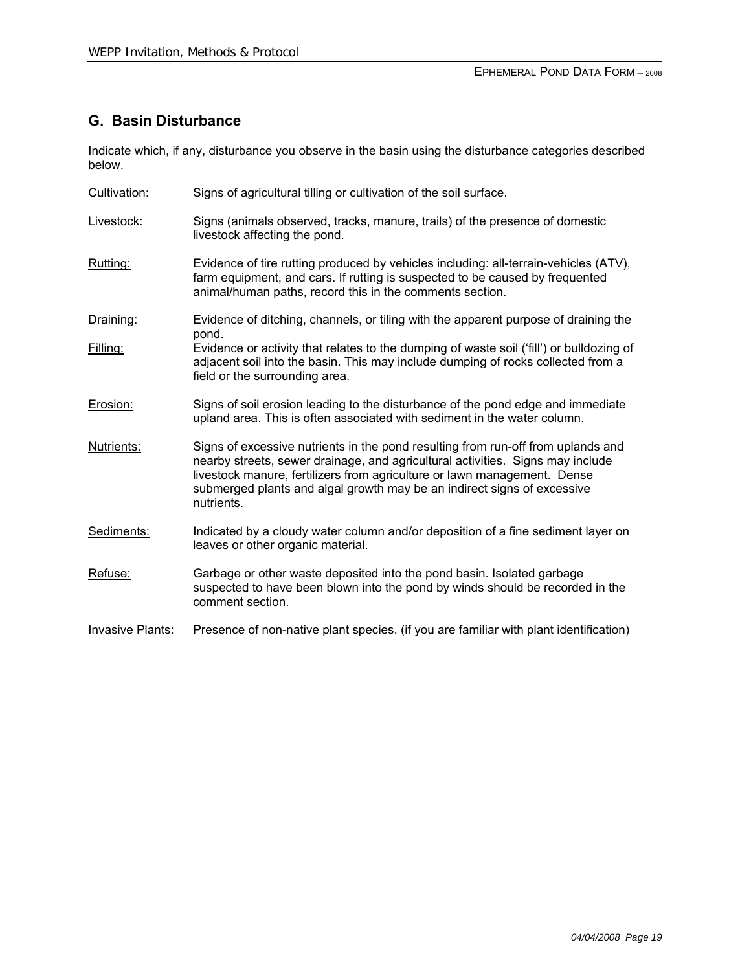# **G. Basin Disturbance**

Indicate which, if any, disturbance you observe in the basin using the disturbance categories described below.

- Cultivation: Signs of agricultural tilling or cultivation of the soil surface.
- Livestock: Signs (animals observed, tracks, manure, trails) of the presence of domestic livestock affecting the pond.
- Rutting: Evidence of tire rutting produced by vehicles including: all-terrain-vehicles (ATV), farm equipment, and cars. If rutting is suspected to be caused by frequented animal/human paths, record this in the comments section.
- Draining: Evidence of ditching, channels, or tiling with the apparent purpose of draining the pond.
- Filling: Evidence or activity that relates to the dumping of waste soil ('fill') or bulldozing of adjacent soil into the basin. This may include dumping of rocks collected from a field or the surrounding area.
- Erosion: Signs of soil erosion leading to the disturbance of the pond edge and immediate upland area. This is often associated with sediment in the water column.
- Nutrients: Signs of excessive nutrients in the pond resulting from run-off from uplands and nearby streets, sewer drainage, and agricultural activities. Signs may include livestock manure, fertilizers from agriculture or lawn management. Dense submerged plants and algal growth may be an indirect signs of excessive nutrients.
- Sediments: Indicated by a cloudy water column and/or deposition of a fine sediment layer on leaves or other organic material.
- Refuse: Garbage or other waste deposited into the pond basin. Isolated garbage suspected to have been blown into the pond by winds should be recorded in the comment section.
- Invasive Plants: Presence of non-native plant species. (if you are familiar with plant identification)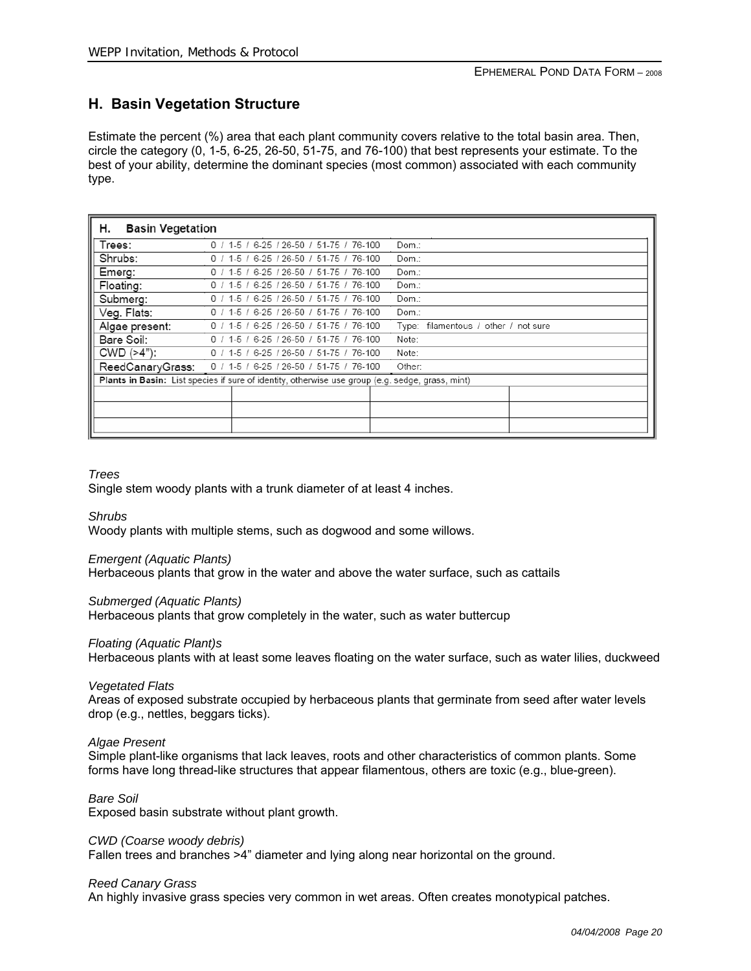# **H. Basin Vegetation Structure**

Estimate the percent (%) area that each plant community covers relative to the total basin area. Then, circle the category (0, 1-5, 6-25, 26-50, 51-75, and 76-100) that best represents your estimate. To the best of your ability, determine the dominant species (most common) associated with each community type.

| н.<br><b>Basin Vegetation</b> |                                                                                                  |  |  |  |  |  |  |  |
|-------------------------------|--------------------------------------------------------------------------------------------------|--|--|--|--|--|--|--|
| Trees:                        | $0/1$ -5 / 6-25 / 26-50 / 51-75 / 76-100<br>Dom.:                                                |  |  |  |  |  |  |  |
| Shrubs:                       | 0 / 1-5 / 6-25 / 26-50 / 51-75 / 76-100<br>Dom.:                                                 |  |  |  |  |  |  |  |
| Emerg:                        | 0 / 1-5 / 6-25 / 26-50 / 51-75 / 76-100<br>Dom.:                                                 |  |  |  |  |  |  |  |
| Floating:                     | $0$ / 1-5 / 6-25 / 26-50 / 51-75 / 76-100<br>Dom.:                                               |  |  |  |  |  |  |  |
| Submerg:                      | 0 / 1-5 / 6-25 / 26-50 / 51-75 / 76-100<br>Dom.:                                                 |  |  |  |  |  |  |  |
| Veg. Flats:                   | 0 / 1-5 / 6-25 / 26-50 / 51-75 / 76-100<br>Dom.:                                                 |  |  |  |  |  |  |  |
| Algae present:                | 0 / 1-5 / 6-25 / 26-50 / 51-75 / 76-100<br>filamentous / other / not sure<br>Type:               |  |  |  |  |  |  |  |
| Bare Soil:                    | $0$ / 1-5 / 6-25 / 26-50 / 51-75 / 76-100<br>Note:                                               |  |  |  |  |  |  |  |
| $CWD$ ( $>4"$ ):              | 0 / 1-5 / 6-25 / 26-50 / 51-75 / 76-100<br>Note:                                                 |  |  |  |  |  |  |  |
| ReedCanaryGrass:              | $0/1$ -5 / 6-25 / 26-50 / 51-75 / 76-100<br>Other:                                               |  |  |  |  |  |  |  |
|                               | Plants in Basin: List species if sure of identity, otherwise use group (e.g. sedge, grass, mint) |  |  |  |  |  |  |  |
|                               |                                                                                                  |  |  |  |  |  |  |  |
|                               |                                                                                                  |  |  |  |  |  |  |  |
|                               |                                                                                                  |  |  |  |  |  |  |  |
|                               |                                                                                                  |  |  |  |  |  |  |  |

#### *Trees*

Single stem woody plants with a trunk diameter of at least 4 inches.

#### *Shrubs*

Woody plants with multiple stems, such as dogwood and some willows.

#### *Emergent (Aquatic Plants)*

Herbaceous plants that grow in the water and above the water surface, such as cattails

#### *Submerged (Aquatic Plants)*

Herbaceous plants that grow completely in the water, such as water buttercup

#### *Floating (Aquatic Plant)s*

Herbaceous plants with at least some leaves floating on the water surface, such as water lilies, duckweed

#### *Vegetated Flats*

Areas of exposed substrate occupied by herbaceous plants that germinate from seed after water levels drop (e.g., nettles, beggars ticks).

#### *Algae Present*

Simple plant-like organisms that lack leaves, roots and other characteristics of common plants. Some forms have long thread-like structures that appear filamentous, others are toxic (e.g., blue-green).

#### *Bare Soil*

Exposed basin substrate without plant growth.

#### *CWD (Coarse woody debris)*

Fallen trees and branches >4" diameter and lying along near horizontal on the ground.

#### *Reed Canary Grass*

An highly invasive grass species very common in wet areas. Often creates monotypical patches.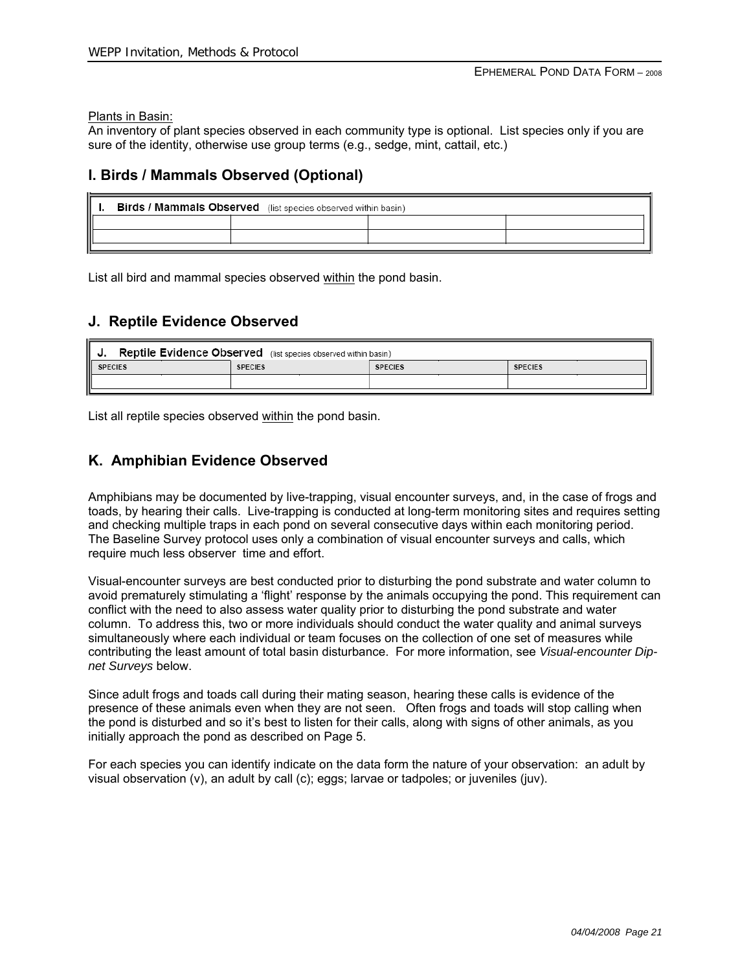Plants in Basin:

An inventory of plant species observed in each community type is optional. List species only if you are sure of the identity, otherwise use group terms (e.g., sedge, mint, cattail, etc.)

### **I. Birds / Mammals Observed (Optional)**

| <b>Birds / Mammals Observed</b> (list species observed within basin) |  |  |  |  |  |  |  |  |  |
|----------------------------------------------------------------------|--|--|--|--|--|--|--|--|--|
|                                                                      |  |  |  |  |  |  |  |  |  |
|                                                                      |  |  |  |  |  |  |  |  |  |
|                                                                      |  |  |  |  |  |  |  |  |  |

List all bird and mammal species observed within the pond basin.

### **J. Reptile Evidence Observed**

| Reptile Evidence Observed (list species observed within basin) |                |                |                |  |  |  |  |  |
|----------------------------------------------------------------|----------------|----------------|----------------|--|--|--|--|--|
| <b>SPECIES</b>                                                 | <b>SPECIES</b> | <b>SPECIES</b> | <b>SPECIES</b> |  |  |  |  |  |
|                                                                |                |                |                |  |  |  |  |  |
|                                                                |                |                |                |  |  |  |  |  |

List all reptile species observed within the pond basin.

## **K. Amphibian Evidence Observed**

Amphibians may be documented by live-trapping, visual encounter surveys, and, in the case of frogs and toads, by hearing their calls. Live-trapping is conducted at long-term monitoring sites and requires setting and checking multiple traps in each pond on several consecutive days within each monitoring period. The Baseline Survey protocol uses only a combination of visual encounter surveys and calls, which require much less observer time and effort.

Visual-encounter surveys are best conducted prior to disturbing the pond substrate and water column to avoid prematurely stimulating a 'flight' response by the animals occupying the pond. This requirement can conflict with the need to also assess water quality prior to disturbing the pond substrate and water column. To address this, two or more individuals should conduct the water quality and animal surveys simultaneously where each individual or team focuses on the collection of one set of measures while contributing the least amount of total basin disturbance. For more information, see *Visual-encounter Dipnet Surveys* below.

Since adult frogs and toads call during their mating season, hearing these calls is evidence of the presence of these animals even when they are not seen. Often frogs and toads will stop calling when the pond is disturbed and so it's best to listen for their calls, along with signs of other animals, as you initially approach the pond as described on Page 5.

For each species you can identify indicate on the data form the nature of your observation: an adult by visual observation (v), an adult by call (c); eggs; larvae or tadpoles; or juveniles (juv).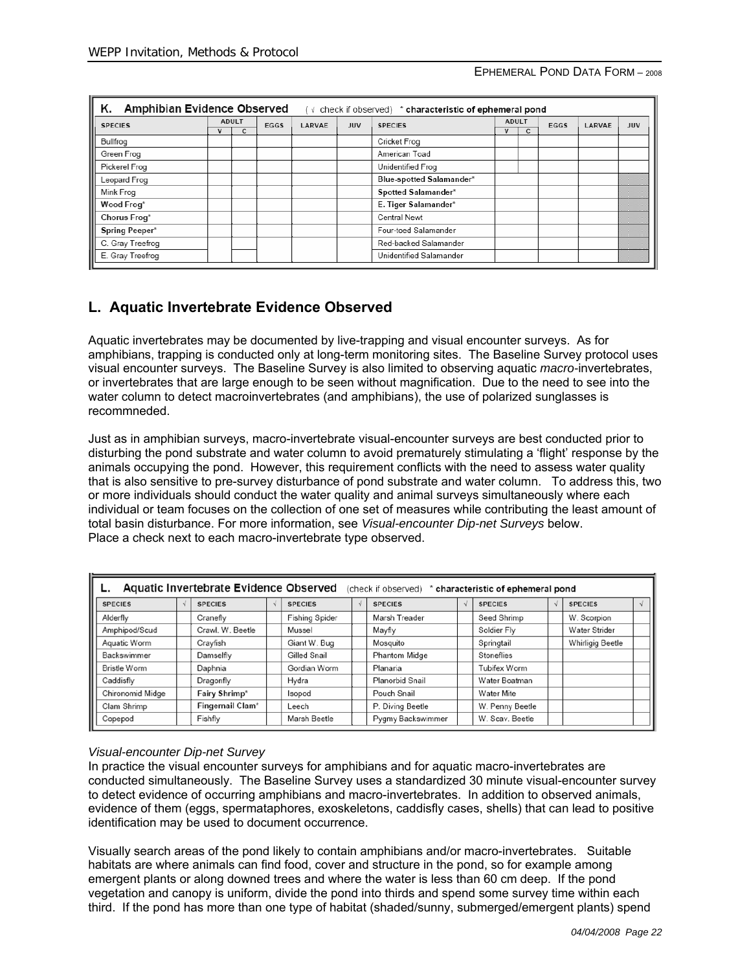| ĸ.<br><b>Amphibian Evidence Observed</b><br>(√ check if observed) * characteristic of ephemeral pond |  |      |        |                          |                |   |  |      |            |
|------------------------------------------------------------------------------------------------------|--|------|--------|--------------------------|----------------|---|--|------|------------|
| <b>ADULT</b>                                                                                         |  |      |        |                          | <b>ADULT</b>   |   |  |      | <b>JUV</b> |
| с                                                                                                    |  |      |        |                          | v              | c |  |      |            |
|                                                                                                      |  |      |        | Cricket Frog             |                |   |  |      |            |
|                                                                                                      |  |      |        | American Toad            |                |   |  |      |            |
|                                                                                                      |  |      |        | Unidentified Frog        |                |   |  |      |            |
|                                                                                                      |  |      |        | Blue-spotted Salamander* |                |   |  |      |            |
|                                                                                                      |  |      |        | Spotted Salamander*      |                |   |  |      |            |
|                                                                                                      |  |      |        | E. Tiger Salamander*     |                |   |  |      |            |
|                                                                                                      |  |      |        | Central Newt             |                |   |  |      |            |
|                                                                                                      |  |      |        | Four-toed Salamander     |                |   |  |      |            |
|                                                                                                      |  |      |        | Red-backed Salamander    |                |   |  |      |            |
| E. Gray Treefrog<br>Unidentified Salamander                                                          |  |      |        |                          |                |   |  |      |            |
|                                                                                                      |  | EGGS | LARVAE | <b>JUV</b>               | <b>SPECIES</b> |   |  | EGGS | LARVAE     |

# **L. Aquatic Invertebrate Evidence Observed**

Aquatic invertebrates may be documented by live-trapping and visual encounter surveys. As for amphibians, trapping is conducted only at long-term monitoring sites. The Baseline Survey protocol uses visual encounter surveys. The Baseline Survey is also limited to observing aquatic *macro-*invertebrates, or invertebrates that are large enough to be seen without magnification. Due to the need to see into the water column to detect macroinvertebrates (and amphibians), the use of polarized sunglasses is recommneded.

Just as in amphibian surveys, macro-invertebrate visual-encounter surveys are best conducted prior to disturbing the pond substrate and water column to avoid prematurely stimulating a 'flight' response by the animals occupying the pond. However, this requirement conflicts with the need to assess water quality that is also sensitive to pre-survey disturbance of pond substrate and water column. To address this, two or more individuals should conduct the water quality and animal surveys simultaneously where each individual or team focuses on the collection of one set of measures while contributing the least amount of total basin disturbance. For more information, see *Visual-encounter Dip-net Surveys* below. Place a check next to each macro-invertebrate type observed.

| Aquatic Invertebrate Evidence Observed<br>(check if observed) * characteristic of ephemeral pond |  |                  |  |                       |  |                      |  |                 |  |                  |  |
|--------------------------------------------------------------------------------------------------|--|------------------|--|-----------------------|--|----------------------|--|-----------------|--|------------------|--|
| <b>SPECIES</b>                                                                                   |  | <b>SPECIES</b>   |  | <b>SPECIES</b>        |  | <b>SPECIES</b>       |  | <b>SPECIES</b>  |  | <b>SPECIES</b>   |  |
| Alderfly                                                                                         |  | Cranefly         |  | <b>Fishing Spider</b> |  | Marsh Treader        |  | Seed Shrimp     |  | W. Scorpion      |  |
| Amphipod/Scud                                                                                    |  | Crawl. W. Beetle |  | Mussel                |  | Mayfly               |  | Soldier Fly     |  | Water Strider    |  |
| Aquatic Worm                                                                                     |  | Crayfish         |  | Giant W. Bug          |  | Mosquito             |  | Springtail      |  | Whirligig Beetle |  |
| Backswimmer                                                                                      |  | Damselfly        |  | Gilled Snail          |  | <b>Phantom Midge</b> |  | Stoneflies      |  |                  |  |
| Bristle Worm                                                                                     |  | Daphnia          |  | Gordian Worm          |  | Planaria             |  | Tubifex Worm    |  |                  |  |
| Caddisfly                                                                                        |  | Dragonfly        |  | Hydra                 |  | Planorbid Snail      |  | Water Boatman   |  |                  |  |
| Chironomid Midge                                                                                 |  | Fairy Shrimp*    |  | Isopod                |  | Pouch Snail          |  | Water Mite      |  |                  |  |
| Clam Shrimp                                                                                      |  | Fingernail Clam* |  | Leech                 |  | P. Diving Beetle     |  | W. Penny Beetle |  |                  |  |
| Copepod                                                                                          |  | Fishfly          |  | Marsh Beetle          |  | Pygmy Backswimmer    |  | W. Scav. Beetle |  |                  |  |

#### *Visual-encounter Dip-net Survey*

In practice the visual encounter surveys for amphibians and for aquatic macro-invertebrates are conducted simultaneously. The Baseline Survey uses a standardized 30 minute visual-encounter survey to detect evidence of occurring amphibians and macro-invertebrates. In addition to observed animals, evidence of them (eggs, spermataphores, exoskeletons, caddisfly cases, shells) that can lead to positive identification may be used to document occurrence.

Visually search areas of the pond likely to contain amphibians and/or macro-invertebrates. Suitable habitats are where animals can find food, cover and structure in the pond, so for example among emergent plants or along downed trees and where the water is less than 60 cm deep. If the pond vegetation and canopy is uniform, divide the pond into thirds and spend some survey time within each third. If the pond has more than one type of habitat (shaded/sunny, submerged/emergent plants) spend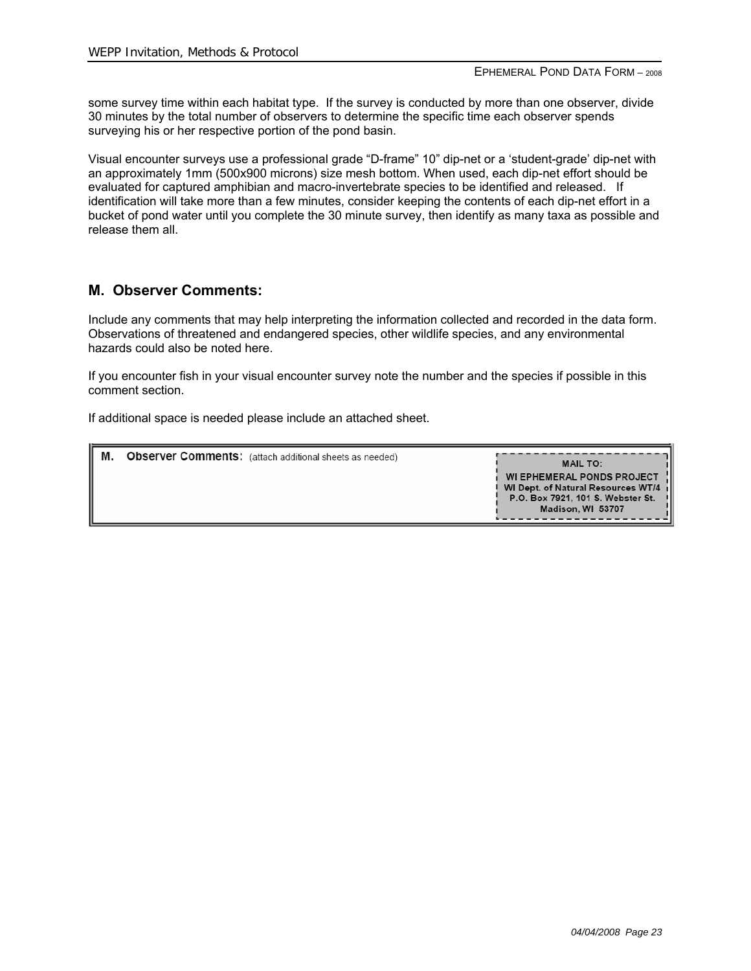some survey time within each habitat type. If the survey is conducted by more than one observer, divide 30 minutes by the total number of observers to determine the specific time each observer spends surveying his or her respective portion of the pond basin.

Visual encounter surveys use a professional grade "D-frame" 10" dip-net or a 'student-grade' dip-net with an approximately 1mm (500x900 microns) size mesh bottom. When used, each dip-net effort should be evaluated for captured amphibian and macro-invertebrate species to be identified and released. If identification will take more than a few minutes, consider keeping the contents of each dip-net effort in a bucket of pond water until you complete the 30 minute survey, then identify as many taxa as possible and release them all.

## **M. Observer Comments:**

Include any comments that may help interpreting the information collected and recorded in the data form. Observations of threatened and endangered species, other wildlife species, and any environmental hazards could also be noted here.

If you encounter fish in your visual encounter survey note the number and the species if possible in this comment section.

If additional space is needed please include an attached sheet.

| М.<br>Observer Comments: (attach additional sheets as needed) | <b>MAIL TO:</b><br>WI EPHEMERAL PONDS PROJECT<br>WI Dept. of Natural Resources WT/4<br>P.O. Box 7921, 101 S. Webster St.<br>- 11<br>Madison, WI 53707 |
|---------------------------------------------------------------|-------------------------------------------------------------------------------------------------------------------------------------------------------|
|---------------------------------------------------------------|-------------------------------------------------------------------------------------------------------------------------------------------------------|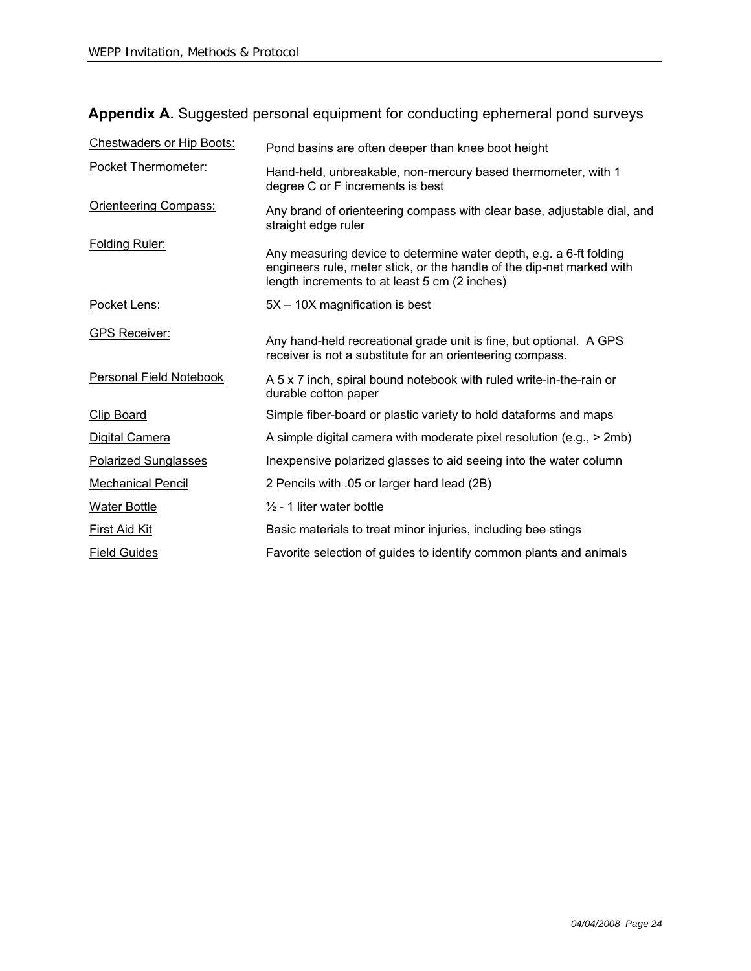| Appendix A. Suggested personal equipment for conducting ephemeral pond surveys |  |  |  |
|--------------------------------------------------------------------------------|--|--|--|
|--------------------------------------------------------------------------------|--|--|--|

| <b>Chestwaders or Hip Boots:</b> | Pond basins are often deeper than knee boot height                                                                                                                                           |
|----------------------------------|----------------------------------------------------------------------------------------------------------------------------------------------------------------------------------------------|
| Pocket Thermometer:              | Hand-held, unbreakable, non-mercury based thermometer, with 1<br>degree C or F increments is best                                                                                            |
| <b>Orienteering Compass:</b>     | Any brand of orienteering compass with clear base, adjustable dial, and<br>straight edge ruler                                                                                               |
| <b>Folding Ruler:</b>            | Any measuring device to determine water depth, e.g. a 6-ft folding<br>engineers rule, meter stick, or the handle of the dip-net marked with<br>length increments to at least 5 cm (2 inches) |
| Pocket Lens:                     | 5X - 10X magnification is best                                                                                                                                                               |
| <b>GPS Receiver:</b>             | Any hand-held recreational grade unit is fine, but optional. A GPS<br>receiver is not a substitute for an orienteering compass.                                                              |
| <b>Personal Field Notebook</b>   | A 5 x 7 inch, spiral bound notebook with ruled write-in-the-rain or<br>durable cotton paper                                                                                                  |
| <b>Clip Board</b>                | Simple fiber-board or plastic variety to hold dataforms and maps                                                                                                                             |
| Digital Camera                   | A simple digital camera with moderate pixel resolution (e.g., > 2mb)                                                                                                                         |
| <b>Polarized Sunglasses</b>      | Inexpensive polarized glasses to aid seeing into the water column                                                                                                                            |
| <b>Mechanical Pencil</b>         | 2 Pencils with .05 or larger hard lead (2B)                                                                                                                                                  |
| <b>Water Bottle</b>              | $\frac{1}{2}$ - 1 liter water bottle                                                                                                                                                         |
| <b>First Aid Kit</b>             | Basic materials to treat minor injuries, including bee stings                                                                                                                                |
| <b>Field Guides</b>              | Favorite selection of guides to identify common plants and animals                                                                                                                           |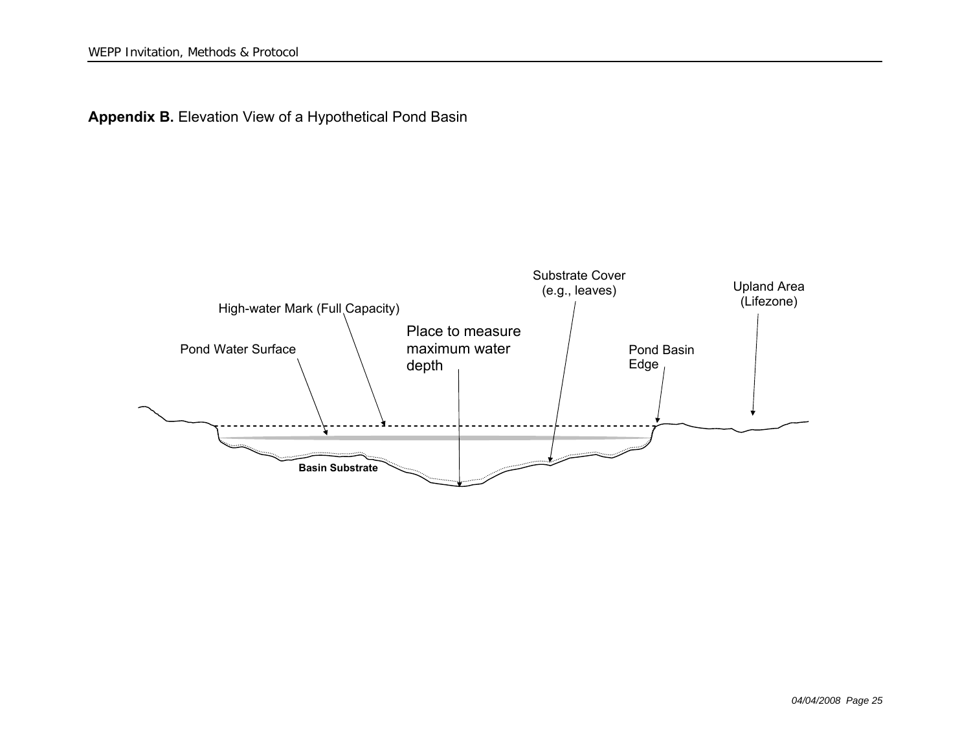

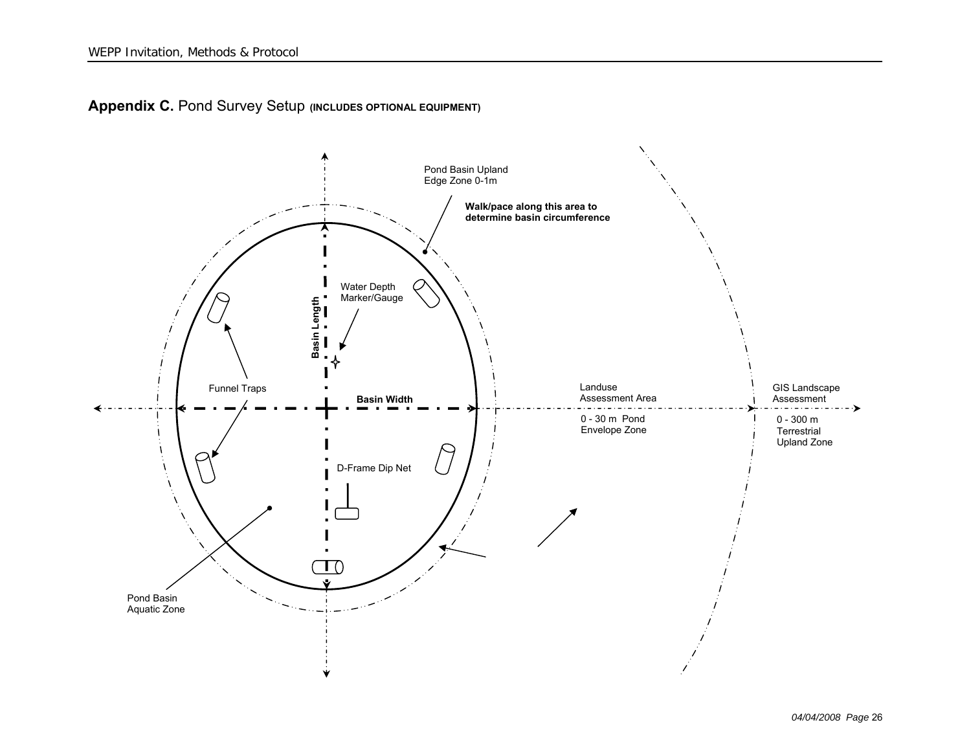

**Appendix C. Pond Survey Setup (INCLUDES OPTIONAL EQUIPMENT)**